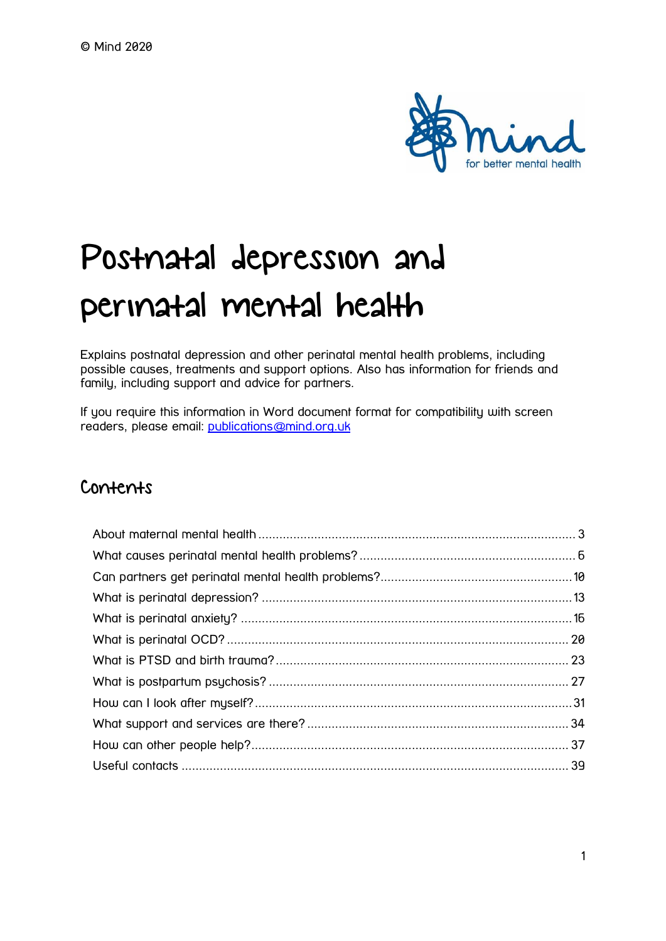

# Postnatal depression and perinatal mental health

Explains postnatal depression and other perinatal mental health problems, including possible causes, treatments and support options. Also has information for friends and family, including support and advice for partners.

If you require this information in Word document format for compatibility with screen readers, please email: [publications@mind.org.uk](mailto:publications@mind.org.uk)

### Contents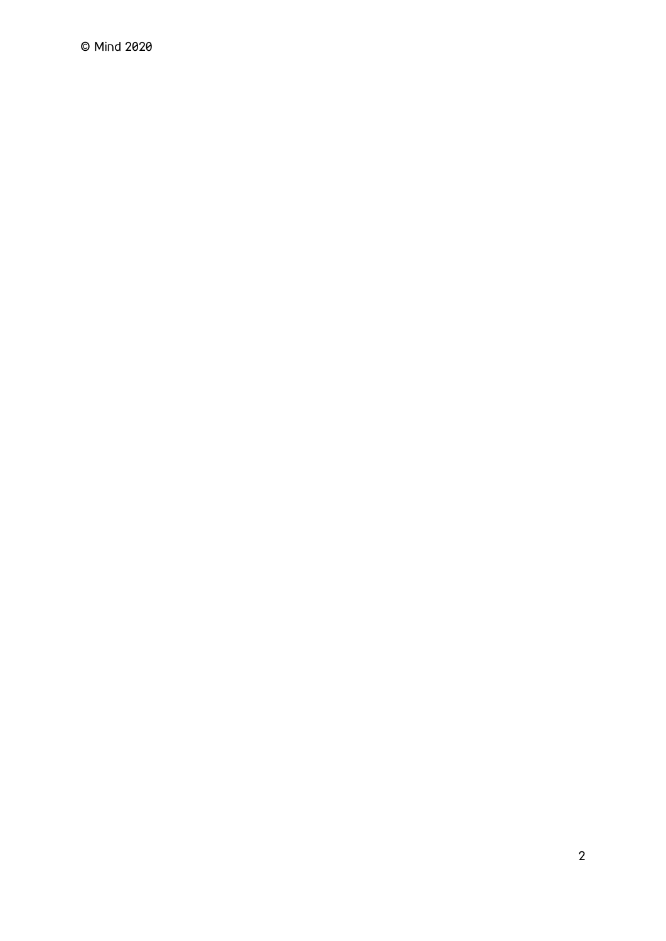© Mind 2020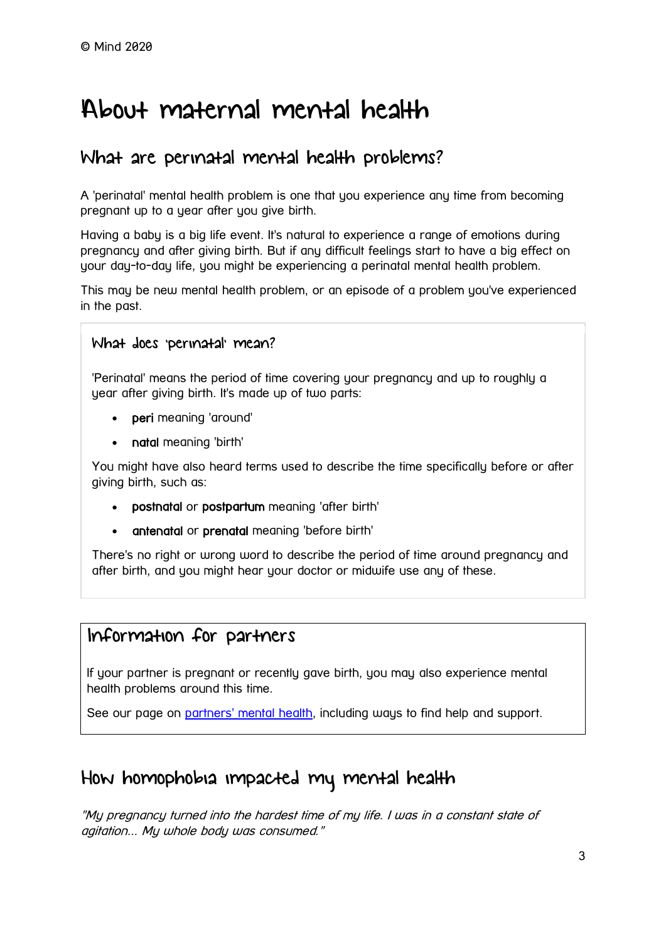# <span id="page-2-0"></span>About maternal mental health

### What are perinatal mental health problems?

A 'perinatal' mental health problem is one that you experience any time from becoming pregnant up to a year after you give birth.

Having a baby is a big life event. It's natural to experience a range of emotions during pregnancy and after giving birth. But if any difficult feelings start to have a big effect on your day-to-day life, you might be experiencing a perinatal mental health problem.

This may be new mental health problem, or an episode of a problem you've experienced in the past.

#### What does 'perinatal' mean?

'Perinatal' means the period of time covering your pregnancy and up to roughly a year after giving birth. It's made up of two parts:

- peri meaning 'around'
- natal meaning 'birth'

You might have also heard terms used to describe the time specifically before or after giving birth, such as:

- postnatal or postpartum meaning 'after birth'
- antenatal or prenatal meaning 'before birth'

There's no right or wrong word to describe the period of time around pregnancy and after birth, and you might hear your doctor or midwife use any of these.

### Information for partners

If your partner is pregnant or recently gave birth, you may also experience mental health problems around this time.

See our page on [partners' mental health,](https://www.mind.org.uk/information-support/types-of-mental-health-problems/postnatal-depression-and-perinatal-mental-health/partners/) including ways to find help and support.

### How homophobia impacted my mental health

"My pregnancy turned into the hardest time of my life. I was in a constant state of agitation... My whole body was consumed."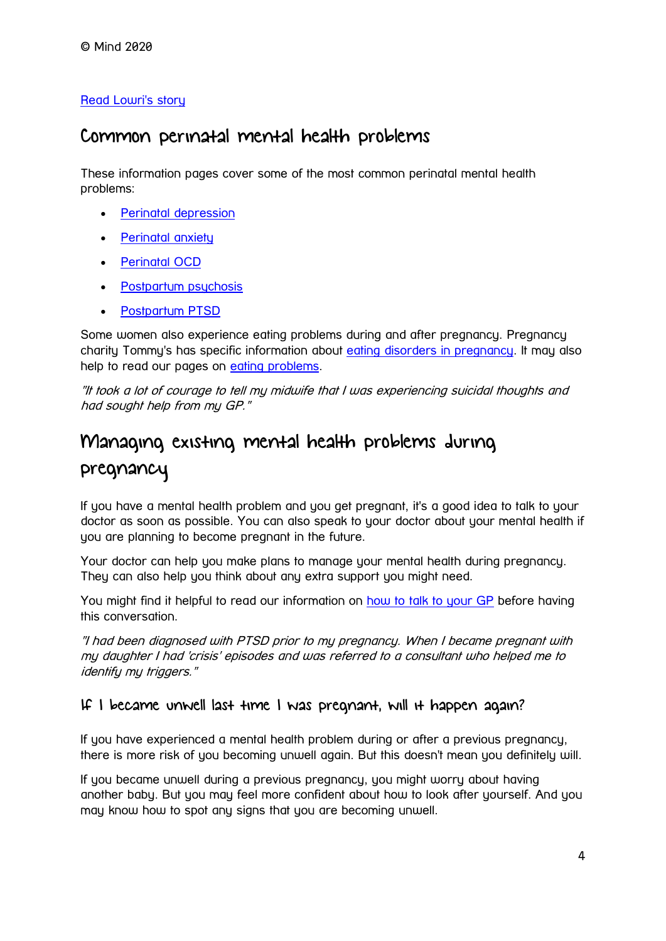#### [Read Lowri's story](https://www.mind.org.uk/information-support/your-stories/how-homophobia-impacted-my-mental-health/)

### Common perinatal mental health problems

These information pages cover some of the most common perinatal mental health problems:

- [Perinatal depression](https://www.mind.org.uk/information-support/types-of-mental-health-problems/postnatal-depression-and-perinatal-mental-health/postnatal-and-antenatal-depression/)
- [Perinatal anxiety](https://www.mind.org.uk/information-support/types-of-mental-health-problems/postnatal-depression-and-perinatal-mental-health/perinatal-anxiety/)
- [Perinatal OCD](https://www.mind.org.uk/information-support/types-of-mental-health-problems/postnatal-depression-and-perinatal-mental-health/perinatal-ocd/)
- [Postpartum psychosis](https://www.mind.org.uk/information-support/types-of-mental-health-problems/postnatal-depression-and-perinatal-mental-health/postpartum-psychosis/)
- [Postpartum PTSD](https://www.mind.org.uk/information-support/types-of-mental-health-problems/postnatal-depression-and-perinatal-mental-health/ptsd-and-birth-trauma/)

Some women also experience eating problems during and after pregnancy. Pregnancy charity Tommy's has specific information about [eating disorders in pregnancy.](https://www.tommys.org/pregnancy-information/im-pregnant/mental-wellbeing/specific-mental-health-conditions/eating-disorders) It may also help to read our pages on [eating problems.](https://www.mind.org.uk/information-support/types-of-mental-health-problems/eating-problems/)

"It took a lot of courage to tell my midwife that I was experiencing suicidal thoughts and had sought help from my GP."

### Managing existing mental health problems during

### pregnancy

If you have a mental health problem and you get pregnant, it's a good idea to talk to your doctor as soon as possible. You can also speak to your doctor about your mental health if you are planning to become pregnant in the future.

Your doctor can help you make plans to manage your mental health during pregnancy. They can also help you think about any extra support you might need.

You might find it helpful to read our information on [how to talk to your GP](https://www.mind.org.uk/information-support/guides-to-support-and-services/seeking-help-for-a-mental-health-problem/talking-to-your-gp/) before having this conversation.

"I had been diagnosed with PTSD prior to my pregnancy. When I became pregnant with my daughter I had 'crisis' episodes and was referred to a consultant who helped me to identify my triggers."

#### If I became unwell last time I was pregnant, will it happen again?

If you have experienced a mental health problem during or after a previous pregnancy, there is more risk of you becoming unwell again. But this doesn't mean you definitely will.

If you became unwell during a previous pregnancy, you might worry about having another baby. But you may feel more confident about how to look after yourself. And you may know how to spot any signs that you are becoming unwell.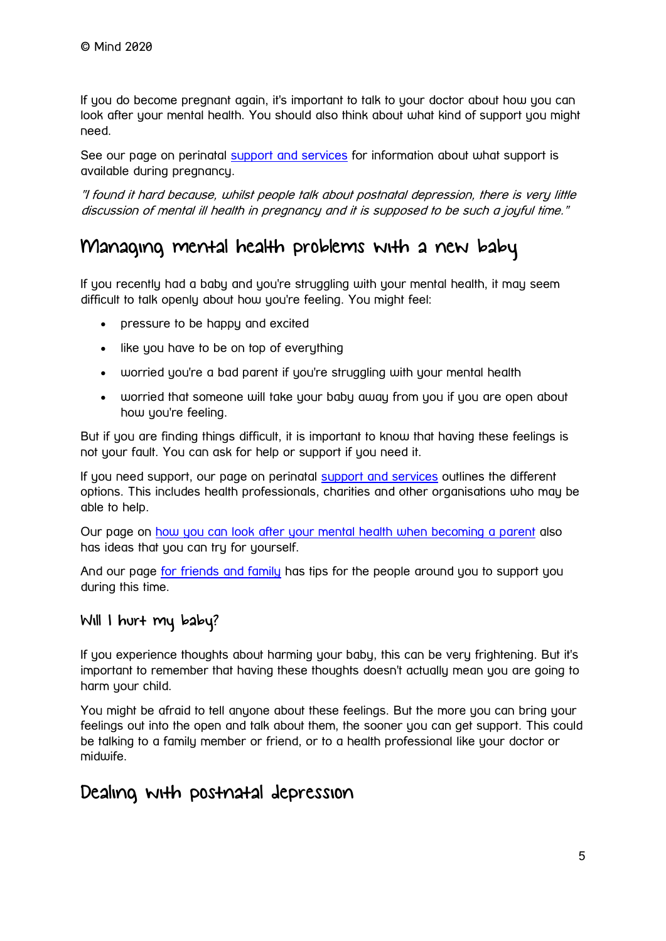If you do become pregnant again, it's important to talk to your doctor about how you can look after your mental health. You should also think about what kind of support you might need.

See our page on perinatal [support and services](https://www.mind.org.uk/information-support/types-of-mental-health-problems/postnatal-depression-and-perinatal-mental-health/support-and-services/) for information about what support is available during pregnancy.

"I found it hard because, whilst people talk about postnatal depression, there is very little discussion of mental ill health in pregnancy and it is supposed to be such a joyful time."

### Managing mental health problems with a new baby

If you recently had a baby and you're struggling with your mental health, it may seem difficult to talk openly about how you're feeling. You might feel:

- pressure to be happy and excited
- like you have to be on top of everything
- worried you're a bad parent if you're struggling with your mental health
- worried that someone will take your baby away from you if you are open about how you're feeling.

But if you are finding things difficult, it is important to know that having these feelings is not your fault. You can ask for help or support if you need it.

If you need support, our page on perinatal [support and services](https://www.mind.org.uk/information-support/types-of-mental-health-problems/postnatal-depression-and-perinatal-mental-health/support-and-services/) outlines the different options. This includes health professionals, charities and other organisations who may be able to help.

Our page on [how you can look after your mental health when becoming a parent](https://www.mind.org.uk/information-support/types-of-mental-health-problems/postnatal-depression-and-perinatal-mental-health/self-care/) also has ideas that you can try for yourself.

And our page [for friends and family](https://www.mind.org.uk/information-support/types-of-mental-health-problems/postnatal-depression-and-perinatal-mental-health/for-friends-and-family/) has tips for the people around you to support you during this time.

#### Will I hurt my baby?

If you experience thoughts about harming your baby, this can be very frightening. But it's important to remember that having these thoughts doesn't actually mean you are going to harm your child.

You might be afraid to tell anyone about these feelings. But the more you can bring your feelings out into the open and talk about them, the sooner you can get support. This could be talking to a family member or friend, or to a health professional like your doctor or midwife.

### Dealing with postnatal depression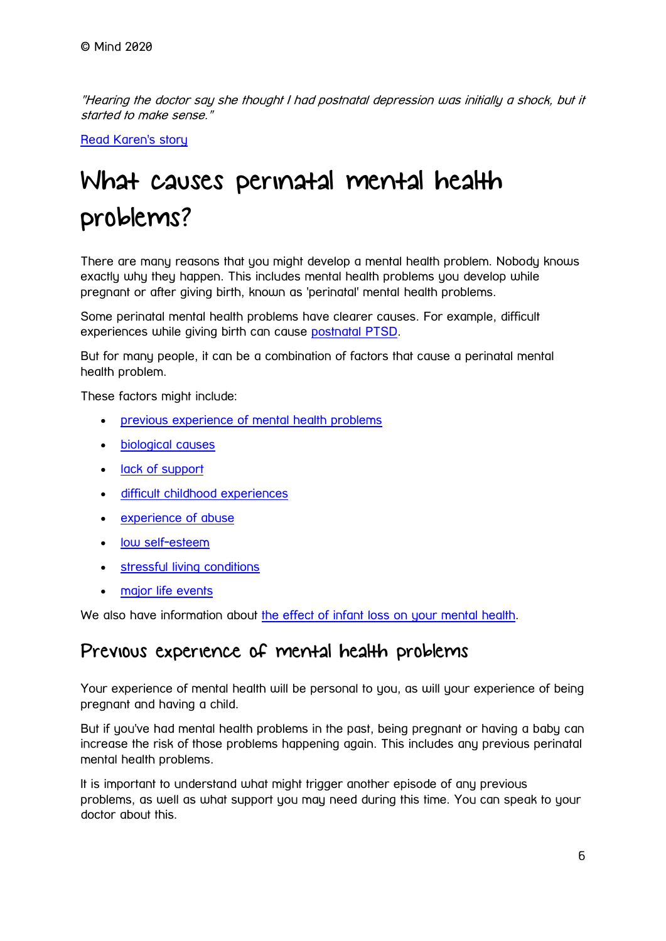"Hearing the doctor say she thought I had postnatal depression was initially a shock, but it started to make sense."

[Read Karen's story](https://www.mind.org.uk/information-support/your-stories/dealing-with-postnatal-depression/)

# <span id="page-5-0"></span>What causes perinatal mental health problems?

There are many reasons that you might develop a mental health problem. Nobody knows exactly why they happen. This includes mental health problems you develop while pregnant or after giving birth, known as 'perinatal' mental health problems.

Some perinatal mental health problems have clearer causes. For example, difficult experiences while giving birth can cause [postnatal PTSD.](https://www.mind.org.uk/information-support/types-of-mental-health-problems/postnatal-depression-and-perinatal-mental-health/ptsd-and-birth-trauma/)

But for many people, it can be a combination of factors that cause a perinatal mental health problem.

These factors might include:

- [previous experience of mental health problems](https://www.mind.org.uk/information-support/types-of-mental-health-problems/postnatal-depression-and-perinatal-mental-health/causes/#PreviousExperienceOfMentalHealthProblems)
- [biological causes](https://www.mind.org.uk/information-support/types-of-mental-health-problems/postnatal-depression-and-perinatal-mental-health/causes/#BiologicalCauses)
- [lack of support](https://www.mind.org.uk/information-support/types-of-mental-health-problems/postnatal-depression-and-perinatal-mental-health/causes/#LackOfSupport)
- [difficult childhood experiences](https://www.mind.org.uk/information-support/types-of-mental-health-problems/postnatal-depression-and-perinatal-mental-health/causes/#DifficultChildhoodExperiences)
- [experience of abuse](https://www.mind.org.uk/information-support/types-of-mental-health-problems/postnatal-depression-and-perinatal-mental-health/causes/#ExperienceOfAbuse)
- [low self-esteem](https://www.mind.org.uk/information-support/types-of-mental-health-problems/postnatal-depression-and-perinatal-mental-health/causes/#LowSelfEsteem)
- [stressful living conditions](https://www.mind.org.uk/information-support/types-of-mental-health-problems/postnatal-depression-and-perinatal-mental-health/causes/#StressfulLivingConditions)
- [major life events](https://www.mind.org.uk/information-support/types-of-mental-health-problems/postnatal-depression-and-perinatal-mental-health/causes/#MajorLifeEvents)

We also have information about [the effect of infant loss on your mental health.](https://www.mind.org.uk/information-support/types-of-mental-health-problems/postnatal-depression-and-perinatal-mental-health/causes/#InfantLossAndMentalHealth)

### Previous experience of mental health problems

Your experience of mental health will be personal to you, as will your experience of being pregnant and having a child.

But if you've had mental health problems in the past, being pregnant or having a baby can increase the risk of those problems happening again. This includes any previous perinatal mental health problems.

It is important to understand what might trigger another episode of any previous problems, as well as what support you may need during this time. You can speak to your doctor about this.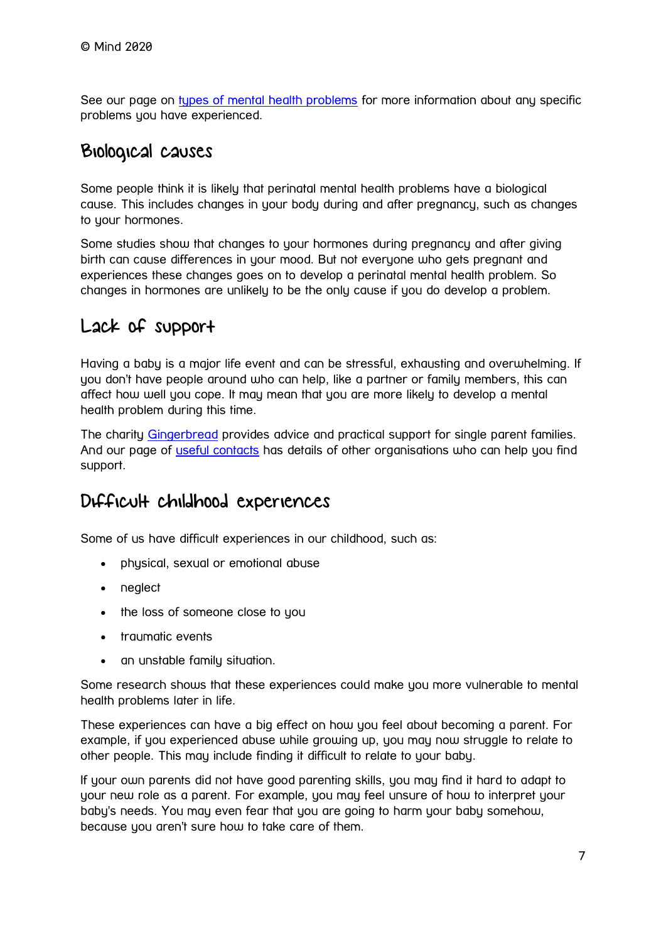See our page on [types of mental health problems](https://www.mind.org.uk/information-support/types-of-mental-health-problems/) for more information about any specific problems you have experienced.

### Biological causes

Some people think it is likely that perinatal mental health problems have a biological cause. This includes changes in your body during and after pregnancy, such as changes to your hormones.

Some studies show that changes to your hormones during pregnancy and after giving birth can cause differences in your mood. But not everyone who gets pregnant and experiences these changes goes on to develop a perinatal mental health problem. So changes in hormones are unlikely to be the only cause if you do develop a problem.

### Lack of support

Having a baby is a major life event and can be stressful, exhausting and overwhelming. If you don't have people around who can help, like a partner or family members, this can affect how well you cope. It may mean that you are more likely to develop a mental health problem during this time.

The charity [Gingerbread](https://www.gingerbread.org.uk/) provides advice and practical support for single parent families. And our page of [useful contacts](https://www.mind.org.uk/information-support/types-of-mental-health-problems/postnatal-depression-and-perinatal-mental-health/useful-contacts/) has details of other organisations who can help you find support.

### Difficult childhood experiences

Some of us have difficult experiences in our childhood, such as:

- physical, sexual or emotional abuse
- neglect
- the loss of someone close to you
- traumatic events
- an unstable family situation.

Some research shows that these experiences could make you more vulnerable to mental health problems later in life.

These experiences can have a big effect on how you feel about becoming a parent. For example, if you experienced abuse while growing up, you may now struggle to relate to other people. This may include finding it difficult to relate to your baby.

If your own parents did not have good parenting skills, you may find it hard to adapt to your new role as a parent. For example, you may feel unsure of how to interpret your baby's needs. You may even fear that you are going to harm your baby somehow, because you aren't sure how to take care of them.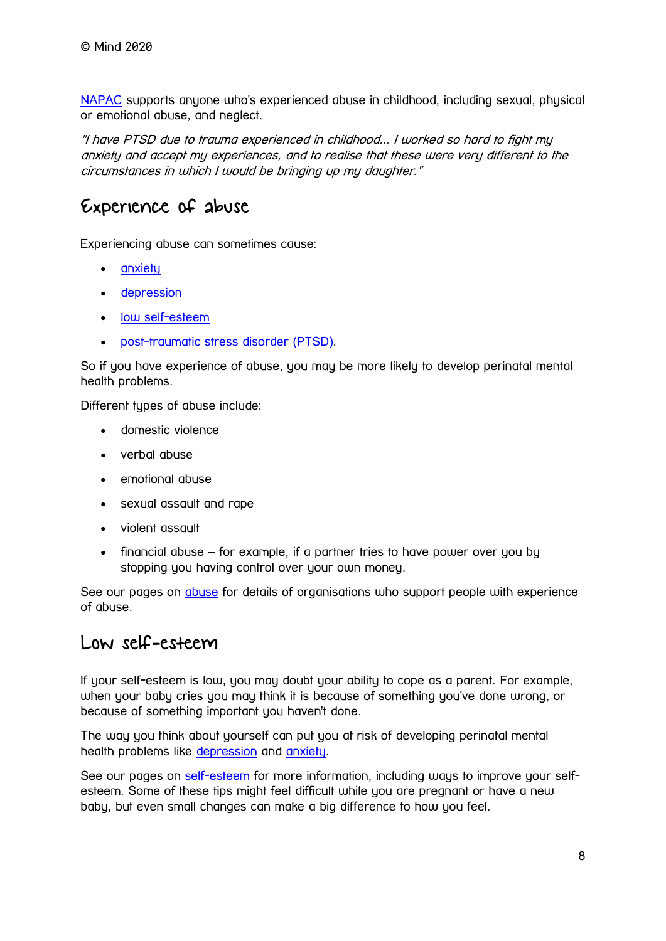[NAPAC](https://napac.org.uk/) supports anyone who's experienced abuse in childhood, including sexual, physical or emotional abuse, and neglect.

"I have PTSD due to trauma experienced in childhood... I worked so hard to fight my anxiety and accept my experiences, and to realise that these were very different to the circumstances in which I would be bringing up my daughter."

### Experience of abuse

Experiencing abuse can sometimes cause:

- [anxiety](https://www.mind.org.uk/information-support/types-of-mental-health-problems/anxiety-and-panic-attacks/)
- [depression](https://www.mind.org.uk/information-support/types-of-mental-health-problems/depression/)
- [low self-esteem](https://www.mind.org.uk/information-support/types-of-mental-health-problems/self-esteem/)
- [post-traumatic stress disorder \(PTSD\).](https://www.mind.org.uk/information-support/types-of-mental-health-problems/post-traumatic-stress-disorder-ptsd/)

So if you have experience of abuse, you may be more likely to develop perinatal mental health problems.

Different types of abuse include:

- domestic violence
- verbal abuse
- emotional abuse
- sexual assault and rape
- violent assault
- financial abuse for example, if a partner tries to have power over you by stopping you having control over your own money.

See our pages on [abuse](https://www.mind.org.uk/information-support/guides-to-support-and-services/abuse/) for details of organisations who support people with experience of abuse.

### Low self-esteem

If your self-esteem is low, you may doubt your ability to cope as a parent. For example, when your baby cries you may think it is because of something you've done wrong, or because of something important you haven't done.

The way you think about yourself can put you at risk of developing perinatal mental health problems like [depression](https://www.mind.org.uk/information-support/types-of-mental-health-problems/postnatal-depression-and-perinatal-mental-health/postnatal-and-antenatal-depression/) and [anxiety.](https://www.mind.org.uk/information-support/types-of-mental-health-problems/postnatal-depression-and-perinatal-mental-health/perinatal-anxiety/)

See our pages on [self-esteem](https://www.mind.org.uk/information-support/types-of-mental-health-problems/self-esteem/) for more information, including ways to improve your selfesteem. Some of these tips might feel difficult while you are pregnant or have a new baby, but even small changes can make a big difference to how you feel.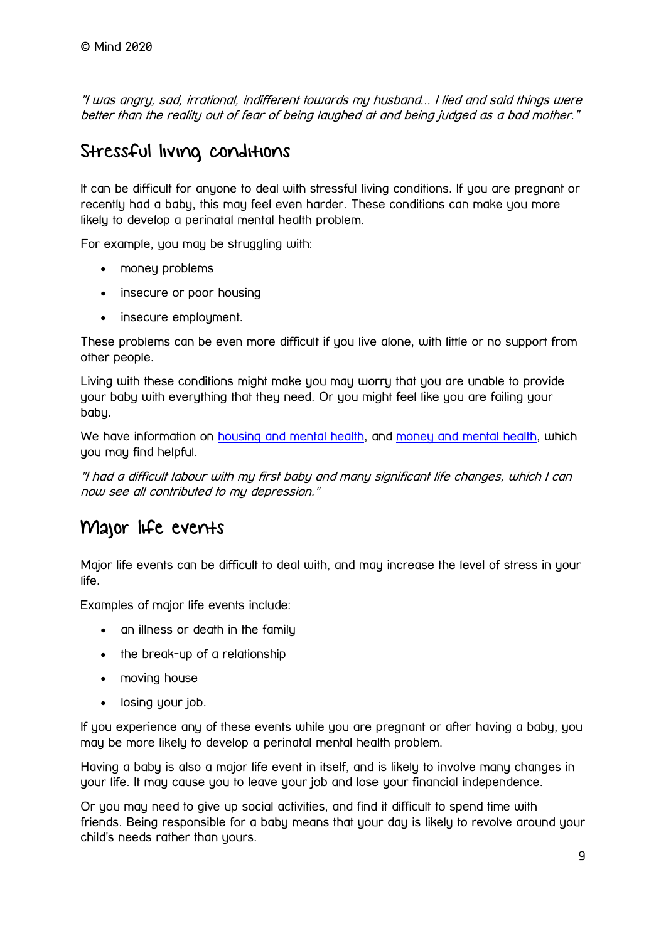"I was angry, sad, irrational, indifferent towards my husband... I lied and said things were better than the reality out of fear of being laughed at and being judged as a bad mother."

### Stressful living conditions

It can be difficult for anyone to deal with stressful living conditions. If you are pregnant or recently had a baby, this may feel even harder. These conditions can make you more likely to develop a perinatal mental health problem.

For example, you may be struggling with:

- money problems
- insecure or poor housing
- insecure employment.

These problems can be even more difficult if you live alone, with little or no support from other people.

Living with these conditions might make you may worry that you are unable to provide your baby with everything that they need. Or you might feel like you are failing your baby.

We have information on [housing and mental health,](https://www.mind.org.uk/information-support/guides-to-support-and-services/housing/housing-and-mental-health/) and [money and mental health,](https://www.mind.org.uk/information-support/tips-for-everyday-living/money-and-mental-health/) which you may find helpful.

"I had a difficult labour with my first baby and many significant life changes, which I can now see all contributed to my depression."

### Major life events

Major life events can be difficult to deal with, and may increase the level of stress in your life.

Examples of major life events include:

- an illness or death in the family
- the break-up of a relationship
- moving house
- losing your job.

If you experience any of these events while you are pregnant or after having a baby, you may be more likely to develop a perinatal mental health problem.

Having a baby is also a major life event in itself, and is likely to involve many changes in your life. It may cause you to leave your job and lose your financial independence.

Or you may need to give up social activities, and find it difficult to spend time with friends. Being responsible for a baby means that your day is likely to revolve around your child's needs rather than yours.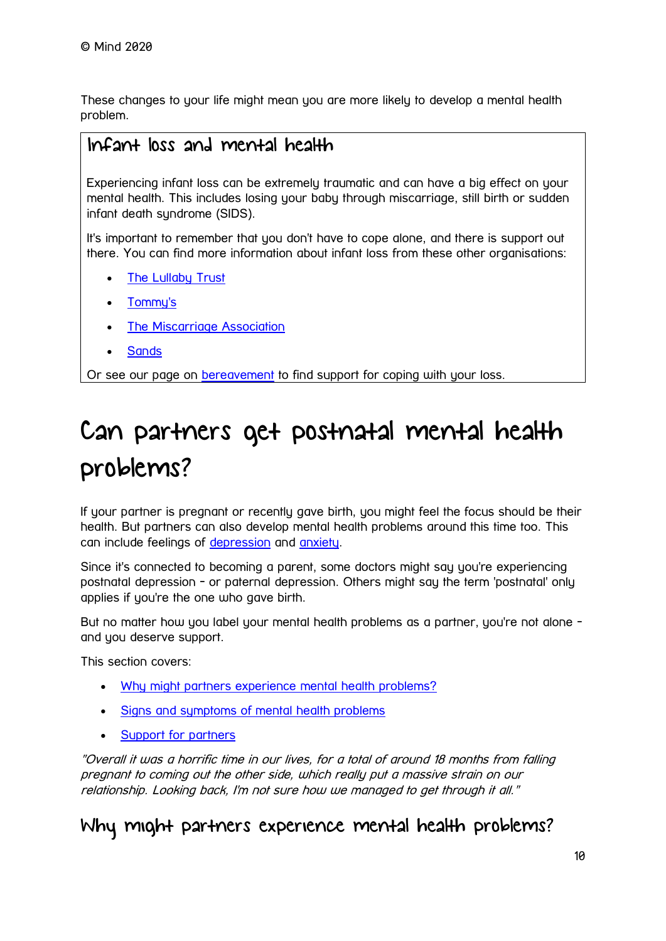These changes to your life might mean you are more likely to develop a mental health problem.

### Infant loss and mental health

Experiencing infant loss can be extremely traumatic and can have a big effect on your mental health. This includes losing your baby through miscarriage, still birth or sudden infant death syndrome (SIDS).

It's important to remember that you don't have to cope alone, and there is support out there. You can find more information about infant loss from these other organisations:

- [The Lullaby Trust](http://www.lullabytrust.org.uk/)
- [Tommy's](https://www.tommys.org/)
- **[The Miscarriage Association](http://www.miscarriageassociation.org.uk/)**
- **[Sands](https://www.sands.org.uk/)**

Or see our page on [bereavement](https://www.mind.org.uk/information-support/guides-to-support-and-services/bereavement/) to find support for coping with your loss.

# <span id="page-9-0"></span>Can partners get postnatal mental health problems?

If your partner is pregnant or recently gave birth, you might feel the focus should be their health. But partners can also develop mental health problems around this time too. This can include feelings of [depression](https://www.mind.org.uk/information-support/types-of-mental-health-problems/depression/) and [anxiety.](https://www.mind.org.uk/information-support/types-of-mental-health-problems/anxiety-and-panic-attacks/)

Since it's connected to becoming a parent, some doctors might say you're experiencing postnatal depression - or paternal depression. Others might say the term 'postnatal' only applies if you're the one who gave birth.

But no matter how you label your mental health problems as a partner, you're not alone and you deserve support.

This section covers:

- [Why might partners experience mental health problems?](https://www.mind.org.uk/information-support/types-of-mental-health-problems/postnatal-depression-and-perinatal-mental-health/partners/#WhyMightPartnersExperienceMentalHealthProblems)
- [Signs and symptoms of mental health problems](https://www.mind.org.uk/information-support/types-of-mental-health-problems/postnatal-depression-and-perinatal-mental-health/partners/#SignsAndSymptomsOfMentalHealthProblems)
- [Support for partners](https://www.mind.org.uk/information-support/types-of-mental-health-problems/postnatal-depression-and-perinatal-mental-health/partners/#SupportForPartners)

"Overall it was a horrific time in our lives, for a total of around 18 months from falling pregnant to coming out the other side, which really put a massive strain on our relationship. Looking back, I'm not sure how we managed to get through it all."

### Why might partners experience mental health problems?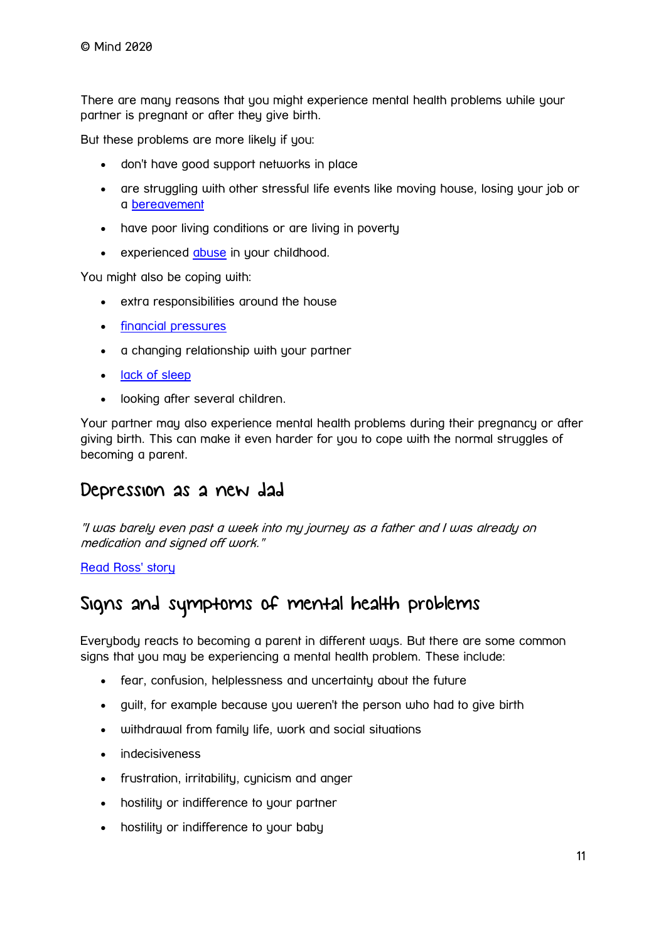There are many reasons that you might experience mental health problems while your partner is pregnant or after they give birth.

But these problems are more likely if you:

- don't have good support networks in place
- are struggling with other stressful life events like moving house, losing your job or a [bereavement](https://www.mind.org.uk/information-support/guides-to-support-and-services/bereavement/)
- have poor living conditions or are living in poverty
- experienced [abuse](https://www.mind.org.uk/information-support/guides-to-support-and-services/abuse/) in your childhood.

You might also be coping with:

- extra responsibilities around the house
- [financial pressures](https://www.mind.org.uk/information-support/tips-for-everyday-living/money-and-mental-health/)
- a chanaina relationship with your partner
- [lack of sleep](https://www.mind.org.uk/information-support/types-of-mental-health-problems/sleep-problems/)
- looking after several children.

Your partner may also experience mental health problems during their pregnancy or after giving birth. This can make it even harder for you to cope with the normal struggles of becoming a parent.

### Depression as a new dad

"I was barely even past a week into my journey as a father and I was already on medication and signed off work."

[Read Ross' story](https://www.mind.org.uk/information-support/your-stories/depression-as-a-new-dad/)

### Signs and symptoms of mental health problems

Everybody reacts to becoming a parent in different ways. But there are some common signs that you may be experiencing a mental health problem. These include:

- fear, confusion, helplessness and uncertainty about the future
- guilt, for example because you weren't the person who had to give birth
- withdrawal from family life, work and social situations
- indecisiveness
- frustration, irritability, cynicism and anger
- hostility or indifference to your partner
- hostility or indifference to your baby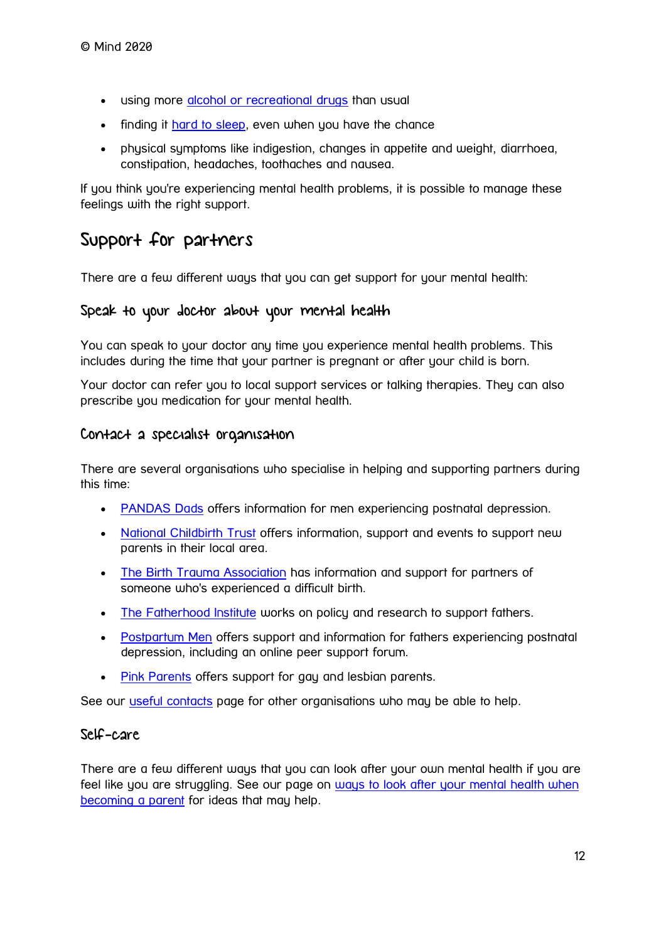- using more [alcohol or recreational drugs](https://www.mind.org.uk/information-support/types-of-mental-health-problems/drugs-recreational-drugs-alcohol/) than usual
- finding it [hard to sleep,](https://www.mind.org.uk/information-support/types-of-mental-health-problems/sleep-problems/) even when you have the chance
- physical symptoms like indigestion, changes in appetite and weight, diarrhoea, constipation, headaches, toothaches and nausea.

If you think you're experiencing mental health problems, it is possible to manage these feelings with the right support.

### Support for partners

There are a few different ways that you can get support for your mental health:

#### Speak to your doctor about your mental health

You can speak to your doctor any time you experience mental health problems. This includes during the time that your partner is pregnant or after your child is born.

Your doctor can refer you to local support services or talking therapies. They can also prescribe you medication for your mental health.

#### Contact a specialist organisation

There are several organisations who specialise in helping and supporting partners during this time:

- [PANDAS Dads](https://www.facebook.com/pandasdads/) offers information for men experiencing postnatal depression.
- [National Childbirth Trust](https://www.nct.org.uk/local-activities-and-meet-ups) offers information, support and events to support new parents in their local area.
- [The Birth Trauma Association](http://www.birthtraumaassociation.org.uk/) has information and support for partners of someone who's experienced a difficult birth.
- The [Fatherhood Institute](http://fatherhoodinstitute.org/) works on policy and research to support fathers.
- [Postpartum Men](http://postpartummen.com/) offers support and information for fathers experiencing postnatal depression, including an online peer support forum.
- [Pink Parents](http://www.pinkparents.org.uk/) offers support for gay and lesbian parents.

See our [useful contacts](https://www.mind.org.uk/information-support/types-of-mental-health-problems/postnatal-depression-and-perinatal-mental-health/useful-contacts/) page for other organisations who may be able to help.

#### Self-care

There are a few different ways that you can look after your own mental health if you are feel like you are struggling. See our page on [ways to look after your mental health when](https://www.mind.org.uk/information-support/types-of-mental-health-problems/postnatal-depression-and-perinatal-mental-health/self-care/)  [becoming a parent](https://www.mind.org.uk/information-support/types-of-mental-health-problems/postnatal-depression-and-perinatal-mental-health/self-care/) for ideas that may help.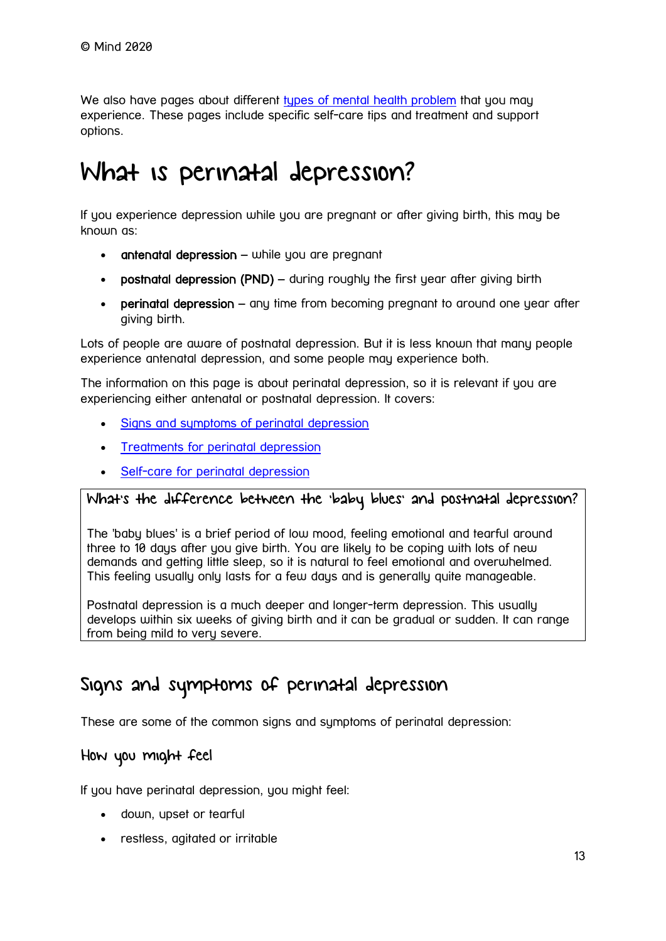We also have pages about different [types of mental health problem](https://www.mind.org.uk/information-support/types-of-mental-health-problems/) that you may experience. These pages include specific self-care tips and treatment and support options.

# <span id="page-12-0"></span>What is perinatal depression?

If you experience depression while you are pregnant or after giving birth, this may be known as:

- $antenard depression while you are pregnant$
- postnatal depression (PND) during roughly the first year after giving birth
- peringtal depression any time from becoming pregnant to around one year after giving birth.

Lots of people are aware of postnatal depression. But it is less known that many people experience antenatal depression, and some people may experience both.

The information on this page is about perinatal depression, so it is relevant if you are experiencing either antenatal or postnatal depression. It covers:

- [Signs and symptoms of perinatal depression](https://www.mind.org.uk/information-support/types-of-mental-health-problems/postnatal-depression-and-perinatal-mental-health/postnatal-and-antenatal-depression/#SignsAndSymptomsOfPerinatalDepression)
- [Treatments for perinatal depression](https://www.mind.org.uk/information-support/types-of-mental-health-problems/postnatal-depression-and-perinatal-mental-health/postnatal-and-antenatal-depression/#TreatmentsForPerinatalDepression)
- [Self-care for perinatal depression](https://www.mind.org.uk/information-support/types-of-mental-health-problems/postnatal-depression-and-perinatal-mental-health/postnatal-and-antenatal-depression/#SelfCareForPerinatalDepression)

#### What's the difference between the 'baby blues' and postnatal depression?

The 'baby blues' is a brief period of low mood, feeling emotional and tearful around three to 10 days after you give birth. You are likely to be coping with lots of new demands and getting little sleep, so it is natural to feel emotional and overwhelmed. This feeling usually only lasts for a few days and is generally quite manageable.

Postnatal depression is a much deeper and longer-term depression. This usually develops within six weeks of giving birth and it can be gradual or sudden. It can range from being mild to veru severe.

### Signs and symptoms of perinatal depression

These are some of the common signs and symptoms of perinatal depression:

#### How you might feel

If you have perinatal depression, you might feel:

- down, upset or tearful
- restless, agitated or irritable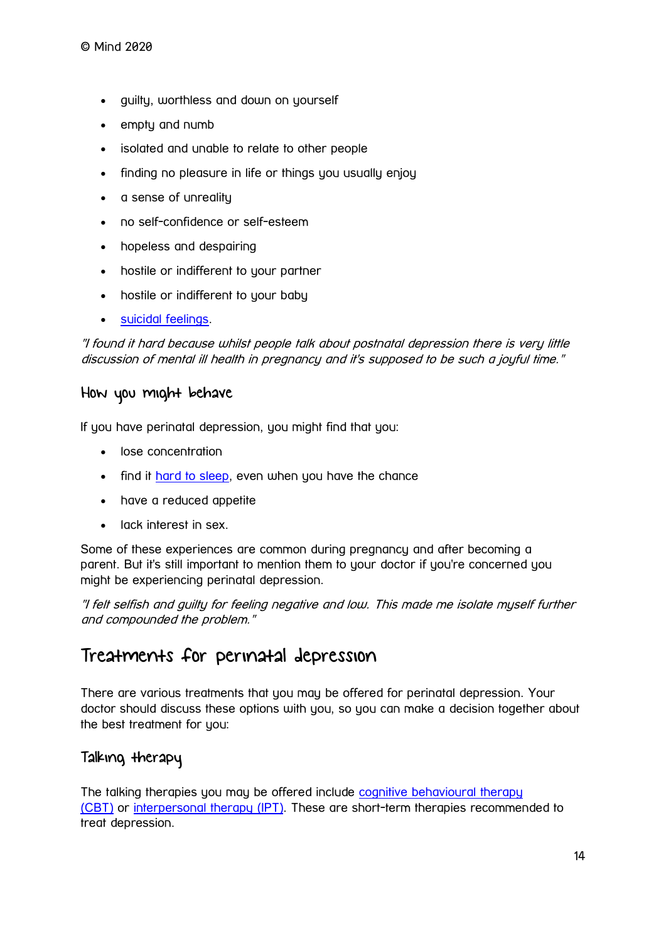- guilty, worthless and down on yourself
- empty and numb
- isolated and unable to relate to other people
- finding no pleasure in life or things you usually enjoy
- a sense of unreality
- no self-confidence or self-esteem
- hopeless and despairing
- hostile or indifferent to your partner
- hostile or indifferent to your baby
- [suicidal feelings.](https://www.mind.org.uk/information-support/types-of-mental-health-problems/suicidal-feelings/)

"I found it hard because whilst people talk about postnatal depression there is very little discussion of mental ill health in pregnancy and it's supposed to be such a joyful time."

#### How you might behave

If you have perinatal depression, you might find that you:

- lose concentration
- find it [hard to sleep,](https://www.mind.org.uk/information-support/types-of-mental-health-problems/sleep-problems/) even when you have the chance
- have a reduced appetite
- lack interest in sex.

Some of these experiences are common during pregnancy and after becoming a parent. But it's still important to mention them to your doctor if you're concerned you might be experiencing perinatal depression.

"I felt selfish and guilty for feeling negative and low. This made me isolate myself further and compounded the problem."

### Treatments for perinatal depression

There are various treatments that you may be offered for perinatal depression. Your doctor should discuss these options with you, so you can make a decision together about the best treatment for you:

#### Talking therapy

The talking therapies you may be offered include [cognitive behavioural therapy](https://www.mind.org.uk/information-support/drugs-and-treatments/cognitive-behavioural-therapy-cbt/)  [\(CBT\)](https://www.mind.org.uk/information-support/drugs-and-treatments/cognitive-behavioural-therapy-cbt/) or [interpersonal therapy \(IPT\).](https://www.mind.org.uk/information-support/drugs-and-treatments/talking-therapy-and-counselling/) These are short-term therapies recommended to treat depression.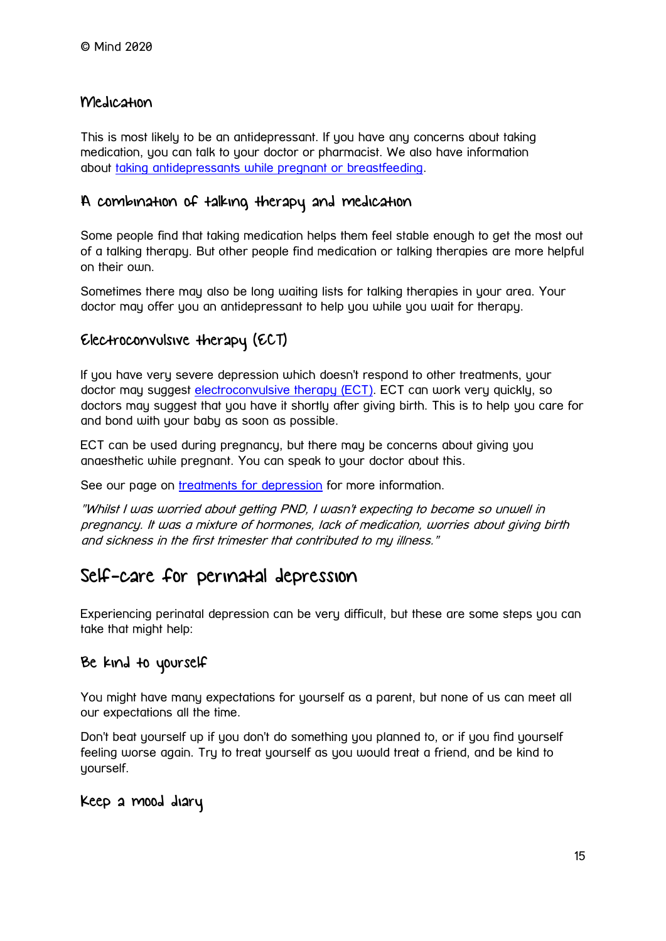#### Medication

This is most likely to be an antidepressant. If you have any concerns about taking medication, you can talk to your doctor or pharmacist. We also have information about [taking antidepressants while pregnant or breastfeeding.](https://www.mind.org.uk/information-support/drugs-and-treatments/antidepressants/antidepressants-in-pregnancy/)

#### A combination of talking therapy and medication

Some people find that taking medication helps them feel stable enough to get the most out of a talking therapy. But other people find medication or talking therapies are more helpful on their own.

Sometimes there may also be long waiting lists for talking therapies in your area. Your doctor may offer you an antidepressant to help you while you wait for therapy.

#### Electroconvulsive therapy (ECT)

If you have very severe depression which doesn't respond to other treatments, your doctor may suggest [electroconvulsive therapy \(ECT\).](https://www.mind.org.uk/information-support/drugs-and-treatments/electroconvulsive-therapy-ect/) ECT can work very quickly, so doctors may suggest that you have it shortly after giving birth. This is to help you care for and bond with your baby as soon as possible.

ECT can be used during pregnancy, but there may be concerns about giving you anaesthetic while pregnant. You can speak to your doctor about this.

See our page on [treatments for depression](https://www.mind.org.uk/information-support/types-of-mental-health-problems/depression/treatments/) for more information.

"Whilst I was worried about getting PND, I wasn't expecting to become so unwell in pregnancy. It was a mixture of hormones, lack of medication, worries about giving birth and sickness in the first trimester that contributed to my illness."

### Self-care for perinatal depression

Experiencing perinatal depression can be very difficult, but these are some steps you can take that might help:

#### Be kind to yourself

You might have many expectations for yourself as a parent, but none of us can meet all our expectations all the time.

Don't beat yourself up if you don't do something you planned to, or if you find yourself feeling worse again. Try to treat yourself as you would treat a friend, and be kind to yourself.

Keep a mood diary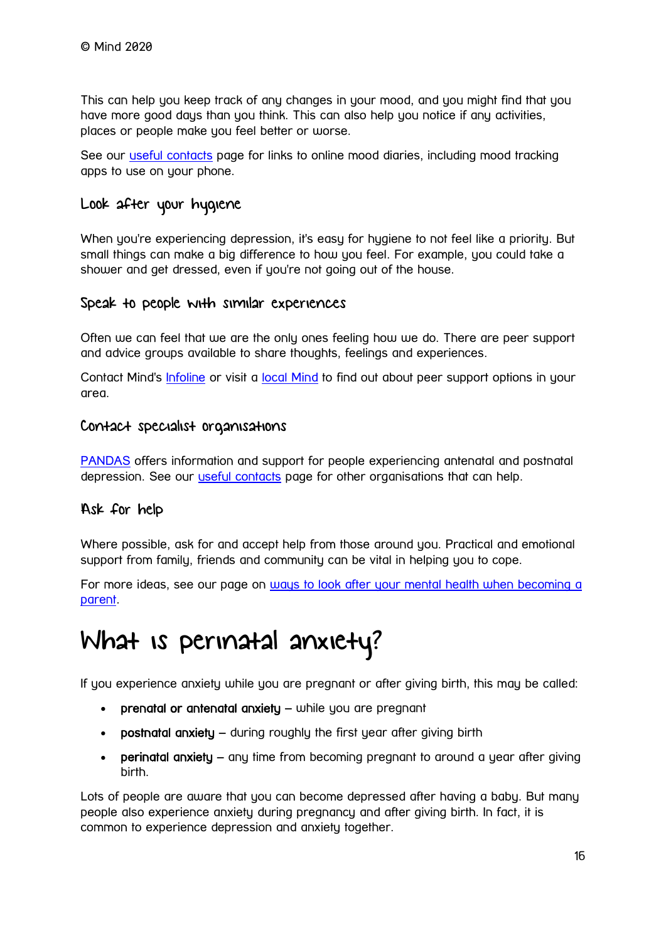This can help you keep track of any changes in your mood, and you might find that you have more good days than you think. This can also help you notice if any activities, places or people make you feel better or worse.

See our [useful contacts](https://www.mind.org.uk/information-support/types-of-mental-health-problems/postnatal-depression-and-perinatal-mental-health/useful-contacts/) page for links to online mood diaries, including mood tracking apps to use on your phone.

#### Look after your hygiene

When you're experiencing depression, it's easy for hygiene to not feel like a priority. But small things can make a big difference to how you feel. For example, you could take a shower and get dressed, even if you're not going out of the house.

#### Speak to people with similar experiences

Often we can feel that we are the only ones feeling how we do. There are peer support and advice groups available to share thoughts, feelings and experiences.

Contact Mind's *[Infoline](https://www.mind.org.uk/information-support/helplines/)* or visit a [local Mind](https://www.mind.org.uk/about-us/local-minds/) to find out about peer support options in your area.

#### Contact specialist organisations

[PANDAS](http://www.pandasfoundation.org.uk/) offers information and support for people experiencing antenatal and postnatal depression. See our [useful contacts](https://www.mind.org.uk/information-support/types-of-mental-health-problems/postnatal-depression-and-perinatal-mental-health/useful-contacts/) page for other organisations that can help.

#### Ask for help

Where possible, ask for and accept help from those around you. Practical and emotional support from family, friends and community can be vital in helping you to cope.

For more ideas, see our page on [ways to look after your mental health when becoming a](https://www.mind.org.uk/information-support/types-of-mental-health-problems/postnatal-depression-and-perinatal-mental-health/self-care/)  [parent.](https://www.mind.org.uk/information-support/types-of-mental-health-problems/postnatal-depression-and-perinatal-mental-health/self-care/)

## <span id="page-15-0"></span>What is perinatal anxiety?

If you experience anxiety while you are pregnant or after giving birth, this may be called:

- prenatal or antenatal anxiety while you are pregnant
- postnatal anxiety during roughly the first year after giving birth
- perinatal anxiety any time from becoming pregnant to around a year after giving birth.

Lots of people are aware that you can become depressed after having a baby. But many people also experience anxiety during pregnancy and after giving birth. In fact, it is common to experience depression and anxiety together.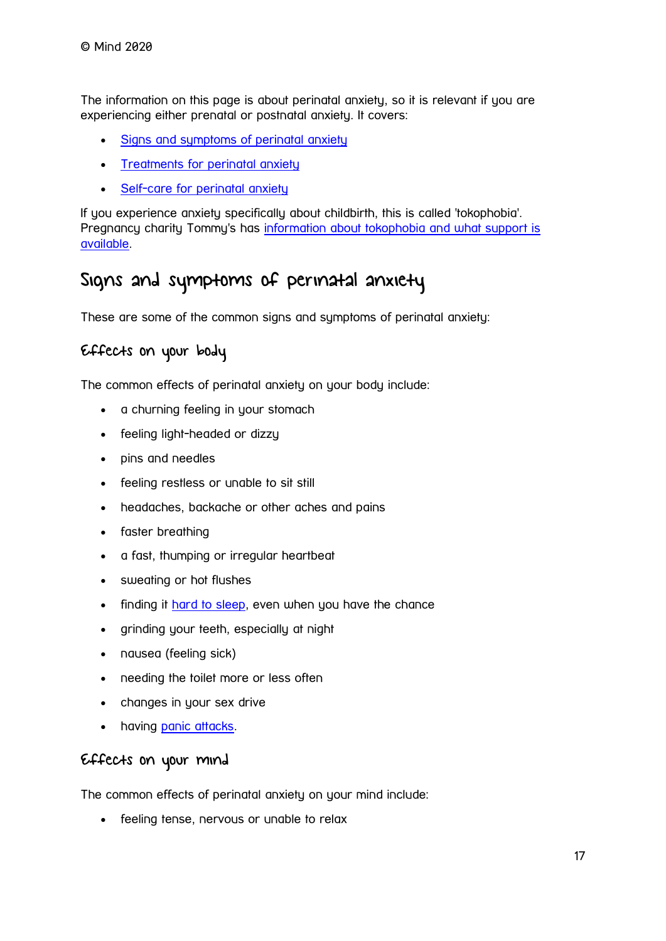The information on this page is about perinatal anxiety, so it is relevant if you are experiencing either prenatal or postnatal anxiety. It covers:

- [Signs and symptoms of perinatal anxiety](https://www.mind.org.uk/information-support/types-of-mental-health-problems/postnatal-depression-and-perinatal-mental-health/perinatal-anxiety/#SignsAndSymptomsOfPerinatalAnxiety)
- [Treatments for perinatal anxiety](https://www.mind.org.uk/information-support/types-of-mental-health-problems/postnatal-depression-and-perinatal-mental-health/perinatal-anxiety/#TreatmentsForPerinatalAnxiety)
- [Self-care for perinatal anxiety](https://www.mind.org.uk/information-support/types-of-mental-health-problems/postnatal-depression-and-perinatal-mental-health/perinatal-anxiety/#SelfCareForPerinatalAnxiety)

If you experience anxiety specifically about childbirth, this is called 'tokophobia'. Pregnancy charity Tommy's has [information about tokophobia and what support is](http://www.tommys.org/pregnancy/health/mental-health/tokophobia-fear-of-childbirth)  [available.](http://www.tommys.org/pregnancy/health/mental-health/tokophobia-fear-of-childbirth)

### Signs and symptoms of perinatal anxiety

These are some of the common signs and symptoms of perinatal anxiety:

#### Effects on your body

The common effects of perinatal anxiety on your body include:

- a churning feeling in your stomach
- feeling light-headed or dizzy
- pins and needles
- feeling restless or unable to sit still
- headaches, backache or other aches and pains
- faster breathing
- a fast, thumping or irregular heartbeat
- sweating or hot flushes
- finding it [hard to sleep,](https://www.mind.org.uk/information-support/types-of-mental-health-problems/sleep-problems/#.XFmn1dL7TIU) even when you have the chance
- grinding your teeth, especially at night
- nausea (feeling sick)
- needing the toilet more or less often
- changes in your sex drive
- having [panic attacks.](https://www.mind.org.uk/information-support/types-of-mental-health-problems/anxiety-and-panic-attacks/panic-attacks/)

#### Effects on your mind

The common effects of perinatal anxiety on your mind include:

• feeling tense, nervous or unable to relax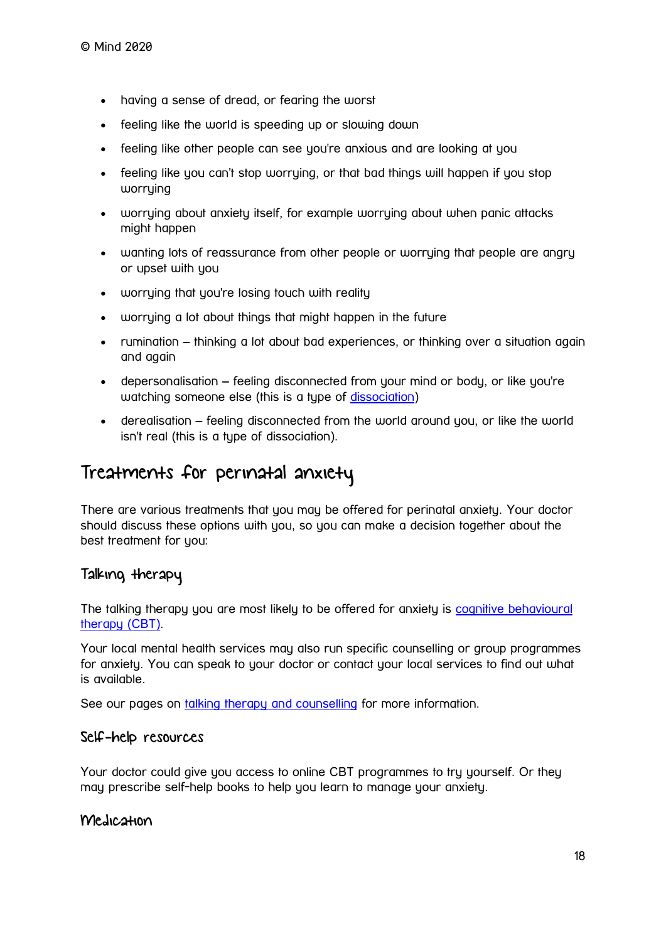- having a sense of dread, or fearing the worst
- feeling like the world is speeding up or slowing down
- feeling like other people can see you're anxious and are looking at you
- feeling like you can't stop worrying, or that bad things will happen if you stop worrying
- worrying about anxiety itself, for example worrying about when panic attacks might happen
- wanting lots of reassurance from other people or worrying that people are angry or upset with you
- worrying that you're losing touch with reality
- worrying a lot about things that might happen in the future
- rumination thinking a lot about bad experiences, or thinking over a situation again and again
- depersonalisation feeling disconnected from your mind or body, or like you're watching someone else (this is a type of [dissociation\)](https://www.mind.org.uk/information-support/types-of-mental-health-problems/dissociation-and-dissociative-disorders/)
- derealisation feeling disconnected from the world around you, or like the world isn't real (this is a type of dissociation).

### Treatments for perinatal anxiety

There are various treatments that you may be offered for perinatal anxiety. Your doctor should discuss these options with you, so you can make a decision together about the best treatment for you:

#### Talking therapy

The talking therapy you are most likely to be offered for anxiety is cognitive behavioural [therapy \(CBT\).](https://www.mind.org.uk/information-support/drugs-and-treatments/cognitive-behavioural-therapy-cbt/)

Your local mental health services may also run specific counselling or group programmes for anxiety. You can speak to your doctor or contact your local services to find out what is available.

See our pages on [talking therapy and counselling](https://www.mind.org.uk/information-support/drugs-and-treatments/talking-therapy-and-counselling/) for more information.

#### Self-help resources

Your doctor could give you access to online CBT programmes to try yourself. Or they may prescribe self-help books to help you learn to manage your anxiety.

#### Medication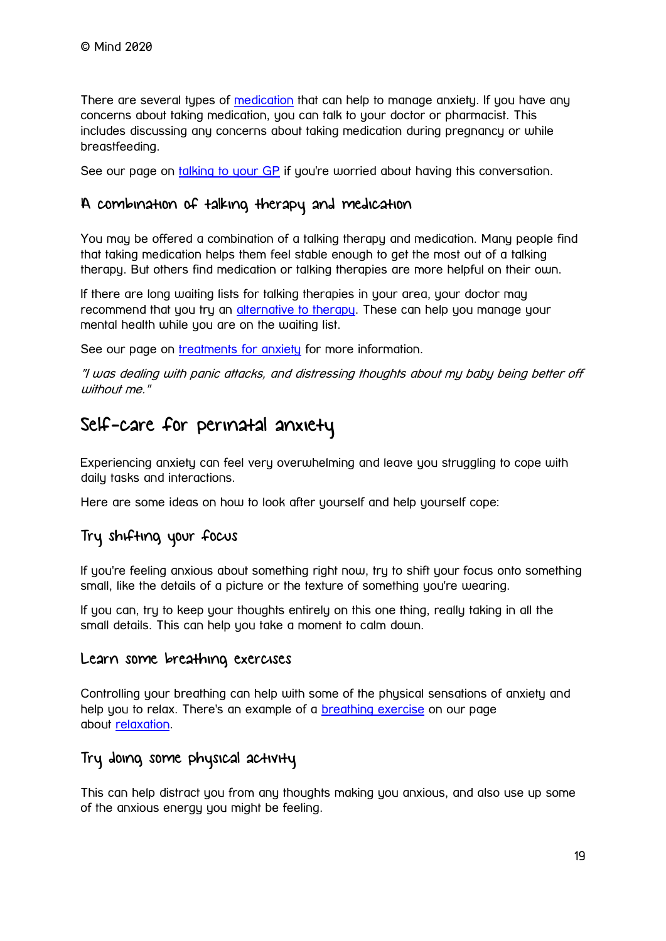There are several types of [medication](https://www.mind.org.uk/information-support/types-of-mental-health-problems/bipolar-disorder/medication/) that can help to manage anxiety. If you have any concerns about taking medication, you can talk to your doctor or pharmacist. This includes discussing any concerns about taking medication during pregnancy or while breastfeeding.

See our page on [talking to your GP](https://www.mind.org.uk/information-support/guides-to-support-and-services/seeking-help-for-a-mental-health-problem/talking-to-your-gp/) if you're worried about having this conversation.

#### A combination of talking therapy and medication

You may be offered a combination of a talking therapy and medication. Many people find that taking medication helps them feel stable enough to get the most out of a talking therapy. But others find medication or talking therapies are more helpful on their own.

If there are long waiting lists for talking therapies in your area, your doctor may recommend that you try an [alternative to therapy.](https://www.mind.org.uk/information-support/drugs-and-treatments/talking-therapy-and-counselling/alternatives-to-therapy/) These can help you manage your mental health while you are on the waiting list.

See our page on [treatments for anxiety](https://www.mind.org.uk/information-support/types-of-mental-health-problems/anxiety-and-panic-attacks/anxiety-treatments/) for more information.

"I was dealing with panic attacks, and distressing thoughts about my baby being better off without me."

### Self-care for perinatal anxiety

Experiencing anxiety can feel very overwhelming and leave you struggling to cope with daily tasks and interactions.

Here are some ideas on how to look after yourself and help yourself cope:

#### Try shifting your focus

If you're feeling anxious about something right now, try to shift your focus onto something small, like the details of a picture or the texture of something you're wearing.

If you can, try to keep your thoughts entirely on this one thing, really taking in all the small details. This can help you take a moment to calm down.

#### Learn some breathing exercises

Controlling your breathing can help with some of the physical sensations of anxiety and help you to relax. There's an example of a [breathing exercise](https://www.mind.org.uk/information-support/tips-for-everyday-living/relaxation/relaxation-exercises/) on our page about [relaxation.](https://www.mind.org.uk/information-support/tips-for-everyday-living/relaxation/)

#### Try doing some physical activity

This can help distract you from any thoughts making you anxious, and also use up some of the anxious energy you might be feeling.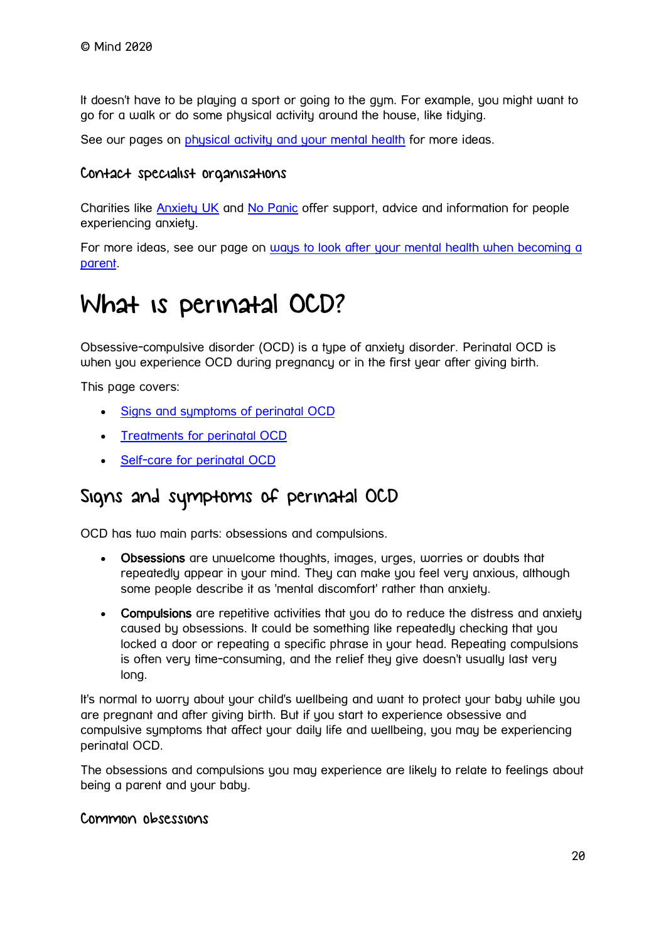It doesn't have to be playing a sport or going to the gym. For example, you might want to go for a walk or do some physical activity around the house, like tidying.

See our pages on [physical activity and your mental health](https://www.mind.org.uk/information-support/tips-for-everyday-living/physical-activity-and-your-mental-health/) for more ideas.

#### Contact specialist organisations

Charities like [Anxiety UK](https://www.anxietyuk.org.uk/) and [No Panic](https://www.nopanic.org.uk/) offer support, advice and information for people experiencing anxiety.

For more ideas, see our page on ways to look after your mental health when becoming a [parent.](https://www.mind.org.uk/information-support/types-of-mental-health-problems/postnatal-depression-and-perinatal-mental-health/self-care/)

## <span id="page-19-0"></span>What is perinatal OCD?

Obsessive-compulsive disorder (OCD) is a type of anxiety disorder. Perinatal OCD is when you experience OCD during pregnancy or in the first year after giving birth.

This page covers:

- [Signs and symptoms of perinatal OCD](https://www.mind.org.uk/information-support/types-of-mental-health-problems/postnatal-depression-and-perinatal-mental-health/perinatal-ocd/#SignsAndSymptomsOfPerinatalOCD)
- [Treatments for perinatal OCD](https://www.mind.org.uk/information-support/types-of-mental-health-problems/postnatal-depression-and-perinatal-mental-health/perinatal-ocd/#TreatmentsForPerinatalOCD)
- [Self-care for perinatal OCD](https://www.mind.org.uk/information-support/types-of-mental-health-problems/postnatal-depression-and-perinatal-mental-health/perinatal-ocd/#SelfCareForPerinatalOCD)

### Signs and symptoms of perinatal OCD

OCD has two main parts: obsessions and compulsions.

- Obsessions are unwelcome thoughts, images, urges, worries or doubts that repeatedly appear in your mind. They can make you feel very anxious, although some people describe it as 'mental discomfort' rather than anxiety.
- Compulsions are repetitive activities that you do to reduce the distress and anxiety caused by obsessions. It could be something like repeatedly checking that you locked a door or repeating a specific phrase in your head. Repeating compulsions is often very time-consuming, and the relief they give doesn't usually last very long.

It's normal to worry about your child's wellbeing and want to protect your baby while you are pregnant and after giving birth. But if you start to experience obsessive and compulsive symptoms that affect your daily life and wellbeing, you may be experiencing perinatal OCD.

The obsessions and compulsions you may experience are likely to relate to feelings about being a parent and your baby.

#### Common obsessions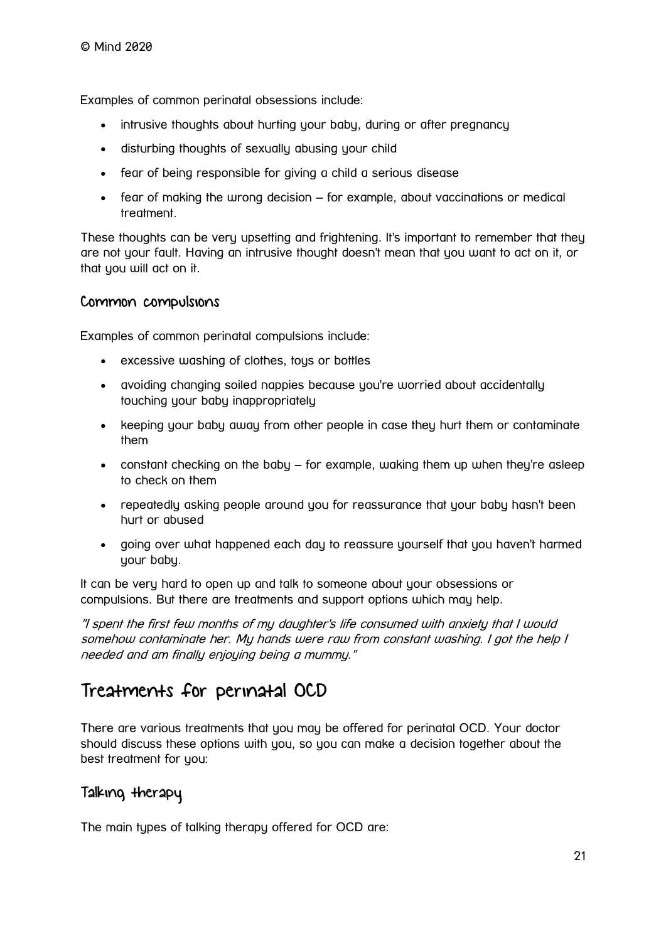Examples of common perinatal obsessions include:

- intrusive thoughts about hurting your baby, during or after pregnancy
- disturbing thoughts of sexually abusing your child
- fear of being responsible for giving a child a serious disease
- fear of making the wrong decision for example, about vaccinations or medical treatment.

These thoughts can be very upsetting and frightening. It's important to remember that they are not your fault. Having an intrusive thought doesn't mean that you want to act on it, or that you will act on it.

#### Common compulsions

Examples of common perinatal compulsions include:

- excessive washing of clothes, toys or bottles
- avoiding changing soiled nappies because you're worried about accidentally touching your baby inappropriately
- keeping your baby away from other people in case they hurt them or contaminate them
- constant checking on the baby for example, waking them up when they're asleep to check on them
- repeatedly asking people around you for reassurance that your baby hasn't been hurt or abused
- going over what happened each day to reassure yourself that you haven't harmed your baby.

It can be very hard to open up and talk to someone about your obsessions or compulsions. But there are treatments and support options which may help.

"I spent the first few months of my daughter's life consumed with anxiety that I would somehow contaminate her. My hands were raw from constant washing. I got the help I needed and am finally enjoying being a mummy."

### Treatments for perinatal OCD

There are various treatments that you may be offered for perinatal OCD. Your doctor should discuss these options with you, so you can make a decision together about the best treatment for you:

#### Talking therapy

The main types of talking therapy offered for OCD are: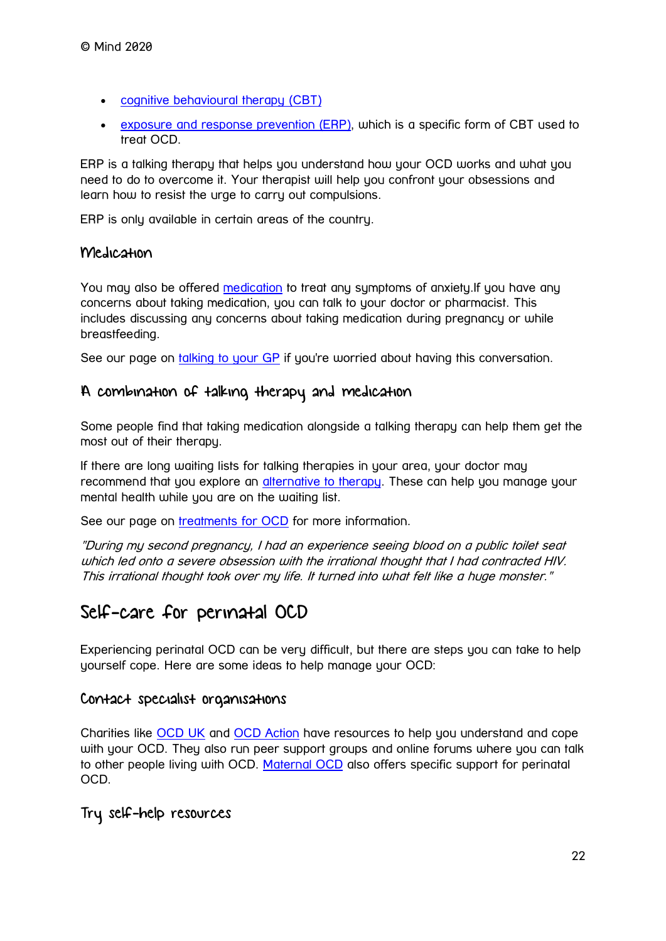- [cognitive behavioural therapy \(CBT\)](https://www.mind.org.uk/information-support/drugs-and-treatments/cognitive-behavioural-therapy-cbt/)
- [exposure and response prevention \(ERP\),](https://www.mind.org.uk/information-support/types-of-mental-health-problems/obsessive-compulsive-disorder-ocd/treatments-for-ocd/#ExposureAndResponsePreventionERP) which is a specific form of CBT used to treat OCD.

ERP is a talking therapy that helps you understand how your OCD works and what you need to do to overcome it. Your therapist will help you confront your obsessions and learn how to resist the urge to carry out compulsions.

ERP is only available in certain areas of the country.

#### Medication

You may also be offered [medication](https://www.mind.org.uk/information-support/drugs-and-treatments/medication/) to treat any symptoms of anxiety.If you have any concerns about taking medication, you can talk to your doctor or pharmacist. This includes discussing any concerns about taking medication during pregnancy or while breastfeeding.

See our page on [talking to your GP](https://www.mind.org.uk/information-support/guides-to-support-and-services/seeking-help-for-a-mental-health-problem/talking-to-your-gp/) if you're worried about having this conversation.

#### A combination of talking therapy and medication

Some people find that taking medication alongside a talking therapy can help them get the most out of their therapy.

If there are long waiting lists for talking therapies in your area, your doctor may recommend that you explore an [alternative to therapy.](https://www.mind.org.uk/information-support/drugs-and-treatments/talking-therapy-and-counselling/alternatives-to-therapy/) These can help you manage your mental health while you are on the waiting list.

See our page on [treatments for OCD](https://www.mind.org.uk/information-support/types-of-mental-health-problems/obsessive-compulsive-disorder-ocd/treatments-for-ocd/) for more information.

"During my second pregnancy, I had an experience seeing blood on a public toilet seat which led onto a severe obsession with the irrational thought that I had contracted HIV. This irrational thought took over my life. It turned into what felt like a huge monster."

### Self-care for perinatal OCD

Experiencing perinatal OCD can be very difficult, but there are steps you can take to help yourself cope. Here are some ideas to help manage your OCD:

#### Contact specialist organisations

Charities like [OCD UK](http://www.ocduk.org/) and [OCD Action](http://www.ocdaction.org.uk/) have resources to help you understand and cope with your OCD. They also run peer support groups and online forums where you can talk to other people living with OCD. [Maternal OCD](http://www.maternalocd.org/) also offers specific support for perinatal OCD.

#### Try self-help resources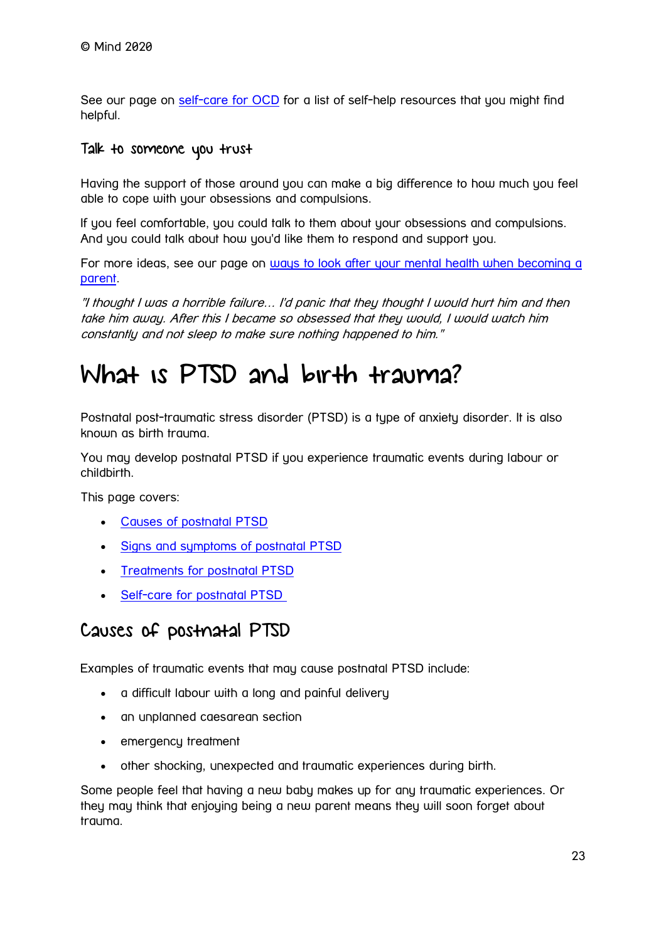See our page on [self-care for OCD](https://www.mind.org.uk/information-support/types-of-mental-health-problems/obsessive-compulsive-disorder-ocd/self-care-for-ocd/) for a list of self-help resources that you might find helpful.

#### Talk to someone you trust

Having the support of those around you can make a big difference to how much you feel able to cope with your obsessions and compulsions.

If you feel comfortable, you could talk to them about your obsessions and compulsions. And you could talk about how you'd like them to respond and support you.

For more ideas, see our page on ways to look after your mental health when becoming a [parent.](https://www.mind.org.uk/information-support/types-of-mental-health-problems/postnatal-depression-and-perinatal-mental-health/self-care/)

"I thought I was a horrible failure… I'd panic that they thought I would hurt him and then take him away. After this I became so obsessed that they would, I would watch him constantly and not sleep to make sure nothing happened to him."

# <span id="page-22-0"></span>What is PTSD and birth trauma?

Postnatal post-traumatic stress disorder (PTSD) is a type of anxiety disorder. It is also known as birth trauma.

You may develop postnatal PTSD if you experience traumatic events during labour or childbirth.

This page covers:

- [Causes of postnatal PTSD](https://www.mind.org.uk/information-support/types-of-mental-health-problems/postnatal-depression-and-perinatal-mental-health/ptsd-and-birth-trauma/#CausesOfPostnatalPTSD)
- [Signs and symptoms of postnatal PTSD](https://www.mind.org.uk/information-support/types-of-mental-health-problems/postnatal-depression-and-perinatal-mental-health/ptsd-and-birth-trauma/#SignsAndSymptomsOfPostnatalPTSD)
- [Treatments for postnatal PTSD](https://www.mind.org.uk/information-support/types-of-mental-health-problems/postnatal-depression-and-perinatal-mental-health/ptsd-and-birth-trauma/#TreatmentsForPostnatalPTSD)
- [Self-care for postnatal PTSD](https://www.mind.org.uk/information-support/types-of-mental-health-problems/postnatal-depression-and-perinatal-mental-health/ptsd-and-birth-trauma/#SelfCareForPostnatalPTSD)

### Causes of postnatal PTSD

Examples of traumatic events that may cause postnatal PTSD include:

- a difficult labour with a long and painful delivery
- an unplanned caesarean section
- emergency treatment
- other shocking, unexpected and traumatic experiences during birth.

Some people feel that having a new baby makes up for any traumatic experiences. Or they may think that enjoying being a new parent means they will soon forget about trauma.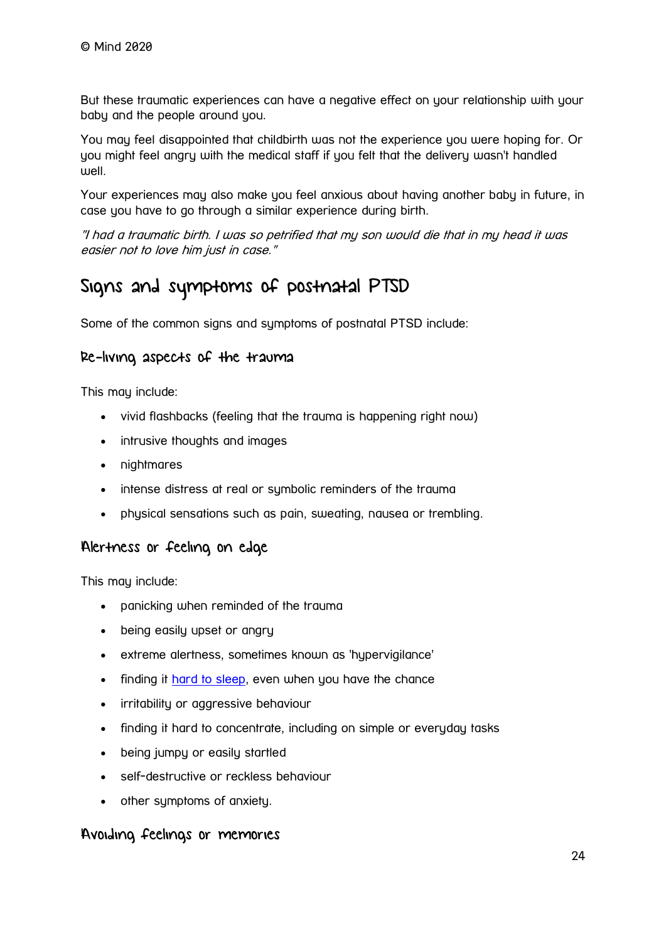But these traumatic experiences can have a negative effect on your relationship with your baby and the people around you.

You may feel disappointed that childbirth was not the experience you were hoping for. Or you might feel angry with the medical staff if you felt that the delivery wasn't handled well.

Your experiences may also make you feel anxious about having another baby in future, in case you have to go through a similar experience during birth.

"I had a traumatic birth. I was so petrified that my son would die that in my head it was easier not to love him just in case."

### Signs and symptoms of postnatal PTSD

Some of the common signs and symptoms of postnatal PTSD include:

#### Re-living aspects of the trauma

This may include:

- vivid flashbacks (feeling that the trauma is happening right now)
- intrusive thoughts and images
- nightmares
- intense distress at real or symbolic reminders of the trauma
- physical sensations such as pain, sweating, nausea or trembling.

#### Alertness or feeling on edge

This may include:

- panicking when reminded of the trauma
- being easily upset or angry
- extreme alertness, sometimes known as 'hypervigilance'
- finding it [hard to sleep,](https://www.mind.org.uk/information-support/types-of-mental-health-problems/sleep-problems/) even when you have the chance
- irritability or aggressive behaviour
- finding it hard to concentrate, including on simple or everyday tasks
- being jumpy or easily startled
- self-destructive or reckless behaviour
- other symptoms of anxiety.

#### Avoiding feelings or memories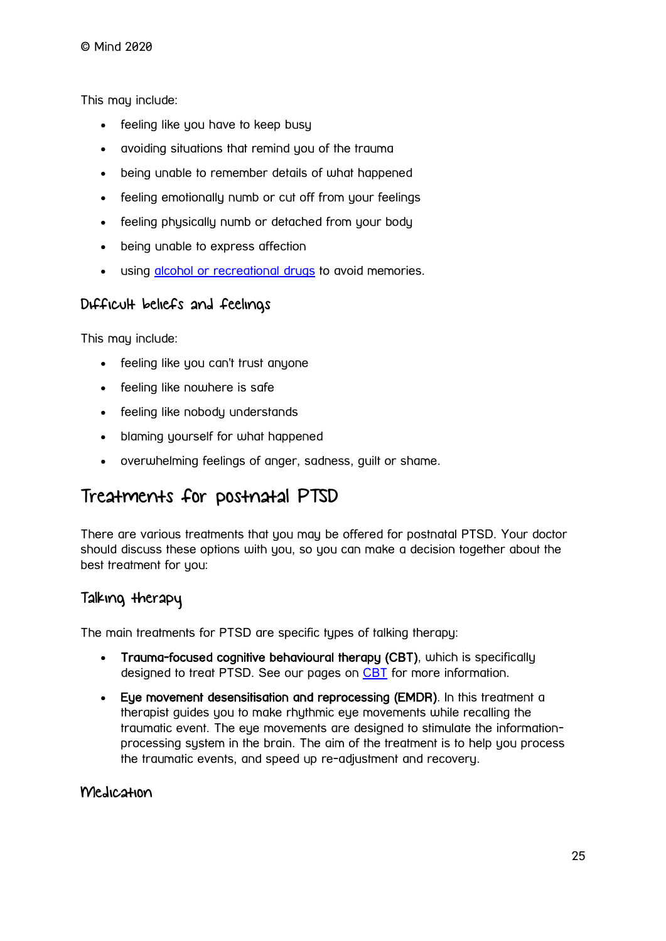This may include:

- feeling like you have to keep busy
- avoiding situations that remind you of the trauma
- being unable to remember details of what happened
- feeling emotionally numb or cut off from your feelings
- feeling physically numb or detached from your body
- being unable to express affection
- using [alcohol or recreational drugs](https://www.mind.org.uk/information-support/types-of-mental-health-problems/drugs-recreational-drugs-alcohol/) to avoid memories.

#### Difficult beliefs and feelings

This may include:

- feeling like you can't trust anyone
- feeling like nowhere is safe
- feeling like nobody understands
- blaming yourself for what happened
- overwhelming feelings of anger, sadness, guilt or shame.

### Treatments for postnatal PTSD

There are various treatments that you may be offered for postnatal PTSD. Your doctor should discuss these options with you, so you can make a decision together about the best treatment for you:

#### Talking therapy

The main treatments for PTSD are specific tupes of talking therapy:

- Trauma-focused cognitive behavioural therapy (CBT), which is specifically designed to treat PTSD. See our pages on [CBT](https://www.mind.org.uk/information-support/drugs-and-treatments/cognitive-behavioural-therapy-cbt/) for more information.
- Eye movement desensitisation and reprocessing (EMDR). In this treatment a therapist guides you to make rhythmic eye movements while recalling the traumatic event. The eue movements are designed to stimulate the informationprocessing system in the brain. The aim of the treatment is to help you process the traumatic events, and speed up re-adjustment and recovery.

#### Medication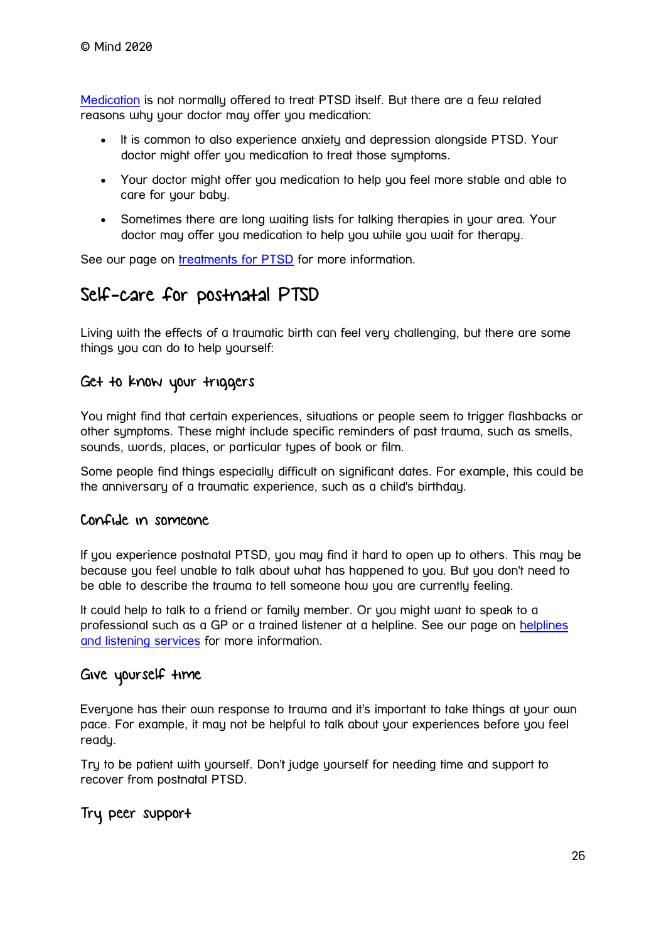[Medication](https://www.mind.org.uk/information-support/drugs-and-treatments/medication/) is not normally offered to treat PTSD itself. But there are a few related reasons why your doctor may offer you medication:

- It is common to also experience anxiety and depression alongside PTSD. Your doctor might offer you medication to treat those symptoms.
- Your doctor might offer you medication to help you feel more stable and able to care for your baby.
- Sometimes there are long waiting lists for talking therapies in your area. Your doctor may offer you medication to help you while you wait for therapy.

See our page on [treatments for PTSD](https://www.mind.org.uk/information-support/types-of-mental-health-problems/post-traumatic-stress-disorder-ptsd/treatments-for-ptsd/) for more information.

### Self-care for postnatal PTSD

Living with the effects of a traumatic birth can feel very challenging, but there are some things you can do to help yourself:

#### Get to know your triggers

You might find that certain experiences, situations or people seem to trigger flashbacks or other symptoms. These might include specific reminders of past trauma, such as smells, sounds, words, places, or particular types of book or film.

Some people find things especially difficult on significant dates. For example, this could be the anniversary of a traumatic experience, such as a child's birthday.

#### Confide in someone

If you experience postnatal PTSD, you may find it hard to open up to others. This may be because you feel unable to talk about what has happened to you. But you don't need to be able to describe the trauma to tell someone how you are currently feeling.

It could help to talk to a friend or family member. Or you might want to speak to a professional such as a GP or a trained listener at a helpline. See our page on [helplines](https://www.mind.org.uk/information-support/guides-to-support-and-services/crisis-services/helplines-listening-services/)  [and listening services](https://www.mind.org.uk/information-support/guides-to-support-and-services/crisis-services/helplines-listening-services/) for more information.

#### Give yourself time

Everyone has their own response to trauma and it's important to take things at your own pace. For example, it may not be helpful to talk about your experiences before you feel ready.

Try to be patient with yourself. Don't judge yourself for needing time and support to recover from postnatal PTSD.

#### Try peer support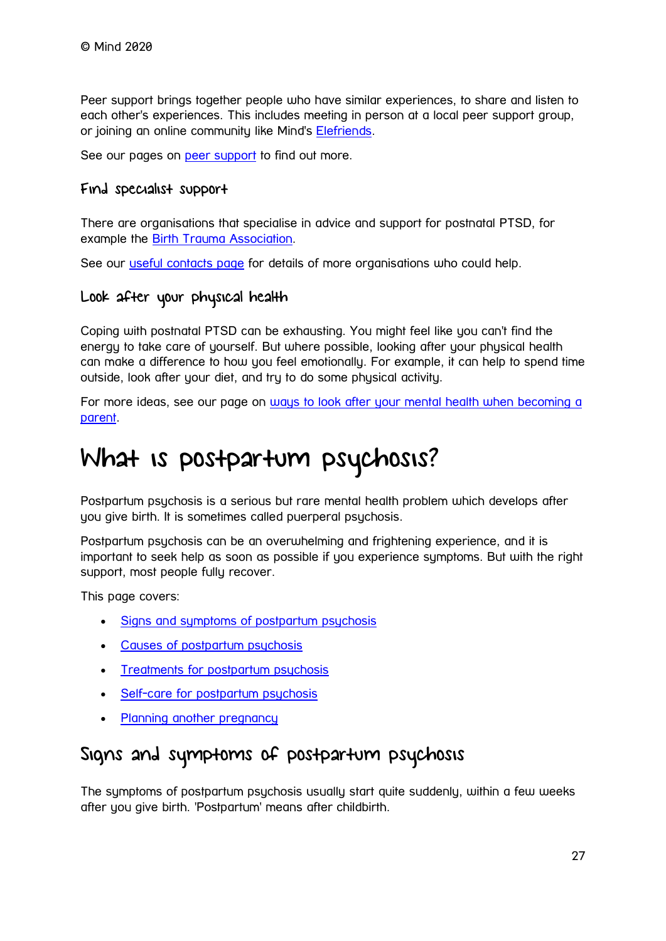Peer support brings together people who have similar experiences, to share and listen to each other's experiences. This includes meeting in person at a local peer support group, or joining an online community like Mind's [Elefriends.](https://www.mind.org.uk/information-support/support-community-elefriends/)

See our pages on [peer support](https://www.mind.org.uk/information-support/drugs-and-treatments/peer-support/) to find out more.

#### Find specialist support

There are organisations that specialise in advice and support for postnatal PTSD, for example the [Birth Trauma Association.](https://www.birthtraumaassociation.org.uk/)

See our [useful contacts page](https://www.mind.org.uk/information-support/types-of-mental-health-problems/post-traumatic-stress-disorder-ptsd/useful-contacts/) for details of more organisations who could help.

#### Look after your physical health

Coping with postnatal PTSD can be exhausting. You might feel like you can't find the energy to take care of yourself. But where possible, looking after your physical health can make a difference to how you feel emotionally. For example, it can help to spend time outside, look after your diet, and try to do some physical activity.

For more ideas, see our page on ways to look after your mental health when becoming a [parent.](https://www.mind.org.uk/information-support/types-of-mental-health-problems/postnatal-depression-and-perinatal-mental-health/self-care/)

# <span id="page-26-0"></span>What is postpartum psychosis?

Postpartum psychosis is a serious but rare mental health problem which develops after you give birth. It is sometimes called puerperal psychosis.

Postpartum psychosis can be an overwhelming and frightening experience, and it is important to seek help as soon as possible if you experience symptoms. But with the right support, most people fully recover.

This page covers:

- [Signs and symptoms of postpartum psychosis](https://www.mind.org.uk/information-support/types-of-mental-health-problems/postnatal-depression-and-perinatal-mental-health/postpartum-psychosis/#SignsAndSymptomsOfPostpartumPsychosis)
- [Causes of postpartum psychosis](https://www.mind.org.uk/information-support/types-of-mental-health-problems/postnatal-depression-and-perinatal-mental-health/postpartum-psychosis/#CausesOfPostpartumPsychosis)
- [Treatments for postpartum psychosis](https://www.mind.org.uk/information-support/types-of-mental-health-problems/postnatal-depression-and-perinatal-mental-health/postpartum-psychosis/#TreatmentsForPostpartumPsychosis)
- [Self-care for postpartum psychosis](https://www.mind.org.uk/information-support/types-of-mental-health-problems/postnatal-depression-and-perinatal-mental-health/postpartum-psychosis/#SelfCareForPostpartumPsychosis)
- [Planning another pregnancy](https://www.mind.org.uk/information-support/types-of-mental-health-problems/postnatal-depression-and-perinatal-mental-health/postpartum-psychosis/#PlanningAnotherPregnancy)

### Signs and symptoms of postpartum psychosis

The symptoms of postpartum psychosis usually start quite suddenly, within a few weeks after you give birth. 'Postpartum' means after childbirth.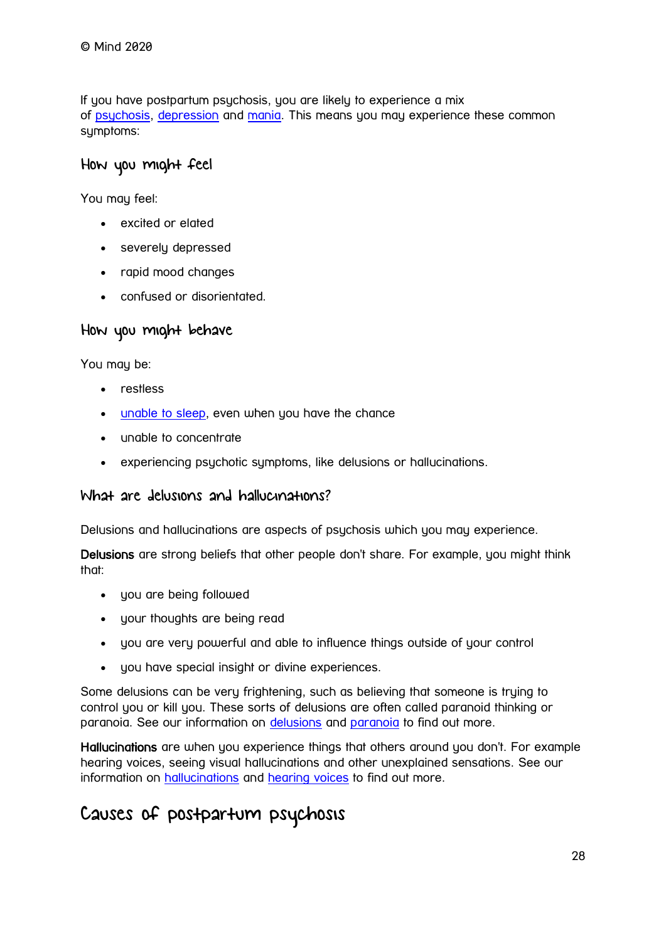If you have postpartum psychosis, you are likely to experience a mix of [psychosis,](https://www.mind.org.uk/information-support/types-of-mental-health-problems/psychosis/) [depression](https://www.mind.org.uk/information-support/types-of-mental-health-problems/depression/) and [mania.](https://www.mind.org.uk/information-support/types-of-mental-health-problems/hypomania-and-mania/) This means you may experience these common sumptoms:

#### How you might feel

You may feel:

- excited or elated
- severely depressed
- rapid mood changes
- confused or disorientated.

#### How you might behave

You may be:

- restless
- [unable to sleep,](https://www.mind.org.uk/information-support/types-of-mental-health-problems/sleep-problems/) even when you have the chance
- unable to concentrate
- experiencing psychotic symptoms, like delusions or hallucinations.

#### What are delusions and hallucinations?

Delusions and hallucinations are aspects of psychosis which you may experience.

Delusions are strong beliefs that other people don't share. For example, you might think that:

- you are being followed
- your thoughts are being read
- you are very powerful and able to influence things outside of your control
- you have special insight or divine experiences.

Some delusions can be very frightening, such as believing that someone is trying to control you or kill you. These sorts of delusions are often called paranoid thinking or paranoia. See our information on [delusions](https://www.mind.org.uk/information-support/types-of-mental-health-problems/psychosis/types-of-psychosis/#delusions) and [paranoia](https://www.mind.org.uk/information-support/types-of-mental-health-problems/paranoia/) to find out more.

Hallucinations are when you experience things that others around you don't. For example hearing voices, seeing visual hallucinations and other unexplained sensations. See our information on [hallucinations](https://www.mind.org.uk/information-support/types-of-mental-health-problems/psychosis/types-of-psychosis/#hallucinations) and [hearing voices](https://www.mind.org.uk/information-support/types-of-mental-health-problems/hearing-voices/) to find out more.

### Causes of postpartum psychosis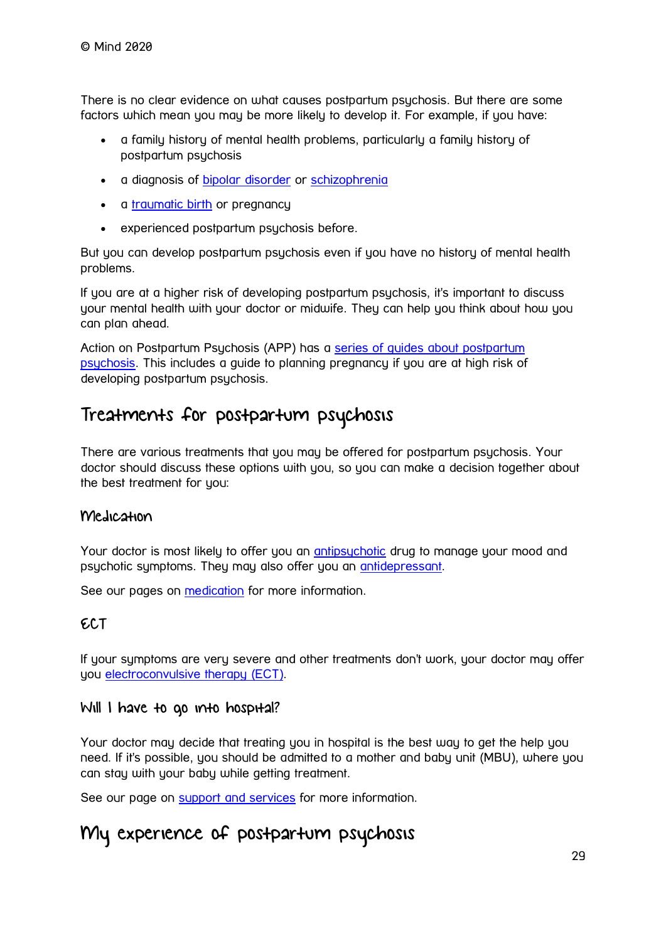There is no clear evidence on what causes postpartum psychosis. But there are some factors which mean you may be more likely to develop it. For example, if you have:

- a family history of mental health problems, particularly a family history of postpartum psychosis
- a diagnosis of **[bipolar disorder](https://www.mind.org.uk/information-support/types-of-mental-health-problems/bipolar-disorder/)** or [schizophrenia](https://www.mind.org.uk/information-support/types-of-mental-health-problems/schizophrenia/)
- a [traumatic birth](https://www.mind.org.uk/information-support/types-of-mental-health-problems/postnatal-depression-and-perinatal-mental-health/ptsd-and-birth-trauma/) or pregnancy
- experienced postpartum psychosis before.

But you can develop postpartum psychosis even if you have no history of mental health problems.

If you are at a higher risk of developing postpartum psychosis, it's important to discuss your mental health with your doctor or midwife. They can help you think about how you can plan ahead.

Action on Postpartum Psychosis (APP) has a [series of guides about postpartum](http://www.app-network.org/what-is-pp/app-guides/)  [psychosis.](http://www.app-network.org/what-is-pp/app-guides/) This includes a guide to planning pregnancy if you are at high risk of developing postpartum psychosis.

### Treatments for postpartum psychosis

There are various treatments that you may be offered for postpartum psychosis. Your doctor should discuss these options with you, so you can make a decision together about the best treatment for you:

#### Medication

Your doctor is most likely to offer you an [antipsychotic](https://www.mind.org.uk/information-support/drugs-and-treatments/antipsychotics/) drug to manage your mood and psychotic symptoms. They may also offer you an [antidepressant.](https://www.mind.org.uk/information-support/drugs-and-treatments/antidepressants/)

See our pages on [medication](https://www.mind.org.uk/information-support/drugs-and-treatments/medication/) for more information.

#### ECT

If your symptoms are very severe and other treatments don't work, your doctor may offer you [electroconvulsive therapy \(ECT\).](https://www.mind.org.uk/information-support/drugs-and-treatments/electroconvulsive-therapy-ect/)

#### Will I have to go into hospital?

Your doctor may decide that treating you in hospital is the best way to get the help you need. If it's possible, you should be admitted to a mother and baby unit (MBU), where you can stay with your baby while getting treatment.

See our page on [support and services](https://www.mind.org.uk/information-support/types-of-mental-health-problems/postnatal-depression-and-perinatal-mental-health/support-and-services/) for more information.

### My experience of postpartum psychosis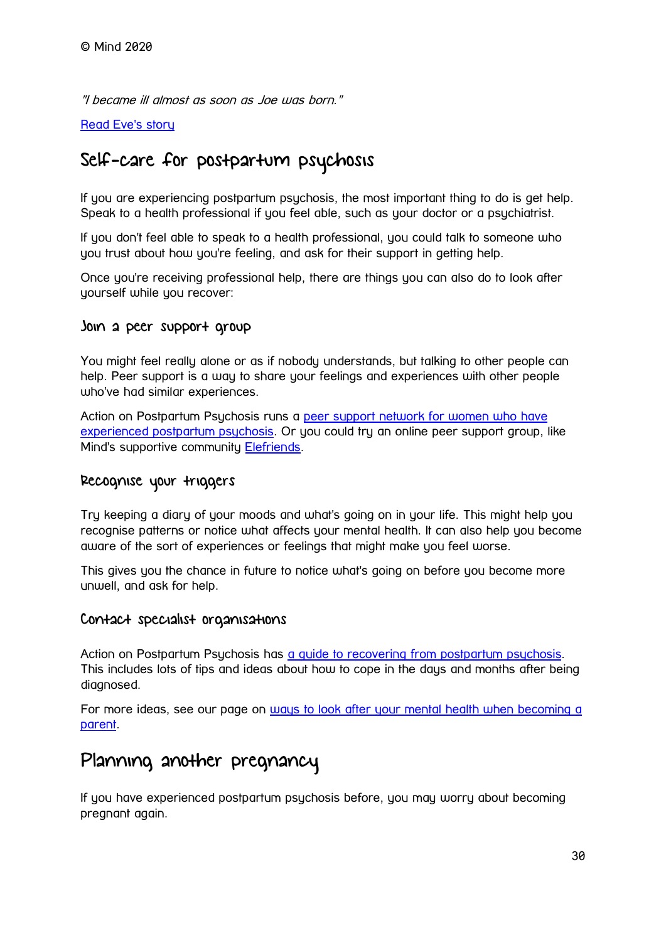"I became ill almost as soon as Joe was born."

#### [Read Eve's story](https://www.mind.org.uk/information-support/your-stories/my-experience-of-postpartum-psychosis/)

### Self-care for postpartum psychosis

If you are experiencing postpartum psychosis, the most important thing to do is get help. Speak to a health professional if you feel able, such as your doctor or a psychiatrist.

If you don't feel able to speak to a health professional, you could talk to someone who you trust about how you're feeling, and ask for their support in getting help.

Once you're receiving professional help, there are things you can also do to look after yourself while you recover:

#### Join a peer support group

You might feel really alone or as if nobody understands, but talking to other people can help. Peer support is a way to share your feelings and experiences with other people who've had similar experiences.

Action on Postpartum Psychosis runs a [peer support network for women who have](http://www.app-network.org/peer-support/)  [experienced postpartum psychosis.](http://www.app-network.org/peer-support/) Or you could try an online peer support group, like Mind's supportive community [Elefriends.](https://www.mind.org.uk/information-support/support-community-elefriends/)

#### Recognise your triggers

Try keeping a diary of your moods and what's going on in your life. This might help you recognise patterns or notice what affects your mental health. It can also help you become aware of the sort of experiences or feelings that might make you feel worse.

This gives you the chance in future to notice what's going on before you become more unwell, and ask for help.

#### Contact specialist organisations

Action on Postpartum Psychosis has a quide to recovering from postpartum psychosis. This includes lots of tips and ideas about how to cope in the days and months after being diagnosed.

For more ideas, see our page on [ways to look after your mental health when becoming a](https://www.mind.org.uk/information-support/types-of-mental-health-problems/postnatal-depression-and-perinatal-mental-health/self-care/)  [parent.](https://www.mind.org.uk/information-support/types-of-mental-health-problems/postnatal-depression-and-perinatal-mental-health/self-care/)

### Planning another pregnancy

If you have experienced postpartum psychosis before, you may worry about becoming pregnant again.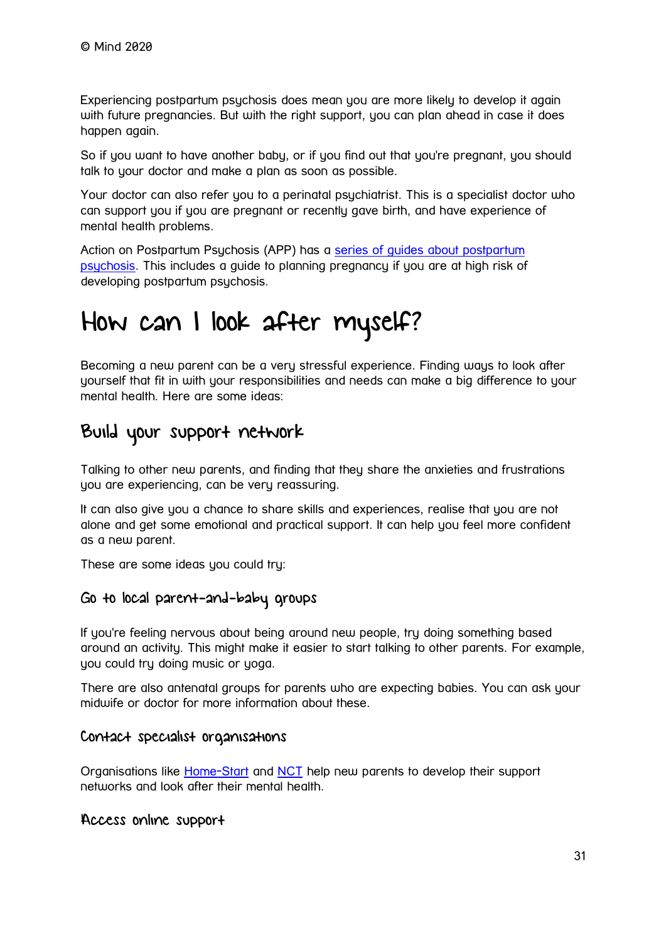Experiencing postpartum psychosis does mean you are more likely to develop it again with future pregnancies. But with the right support, you can plan ahead in case it does happen again.

So if you want to have another baby, or if you find out that you're pregnant, you should talk to your doctor and make a plan as soon as possible.

Your doctor can also refer you to a perinatal psychiatrist. This is a specialist doctor who can support you if you are pregnant or recently gave birth, and have experience of mental health problems.

Action on Postpartum Psychosis (APP) has a series of quides about postpartum [psychosis.](http://www.app-network.org/what-is-pp/app-guides/) This includes a guide to planning pregnancy if you are at high risk of developing postpartum psychosis.

# <span id="page-30-0"></span>How can I look after myself?

Becoming a new parent can be a very stressful experience. Finding ways to look after yourself that fit in with your responsibilities and needs can make a big difference to your mental health. Here are some ideas:

### Build your support network

Talking to other new parents, and finding that they share the anxieties and frustrations you are experiencing, can be very reassuring.

It can also give you a chance to share skills and experiences, realise that you are not alone and get some emotional and practical support. It can help you feel more confident as a new parent.

These are some ideas you could try:

#### Go to local parent-and-baby groups

If you're feeling nervous about being around new people, try doing something based around an activity. This might make it easier to start talking to other parents. For example, you could try doing music or yoga.

There are also antenatal groups for parents who are expecting babies. You can ask your midwife or doctor for more information about these.

#### Contact specialist organisations

Organisations like [Home-Start](http://www.home-start.org.uk/) and [NCT](https://www.nct.org.uk/) help new parents to develop their support networks and look after their mental health.

#### Access online support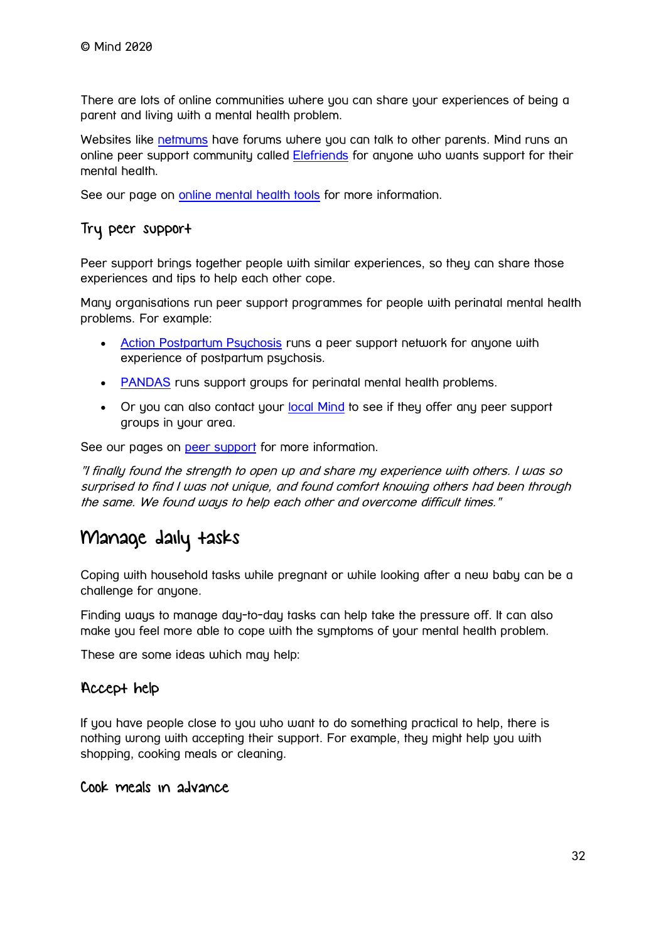There are lots of online communities where you can share your experiences of being a parent and living with a mental health problem.

Websites like [netmums](http://www.netmums.com/) have forums where you can talk to other parents. Mind runs an online peer support community called [Elefriends](https://www.mind.org.uk/information-support/support-community-elefriends/) for anyone who wants support for their mental health.

See our page on [online mental health tools](https://www.mind.org.uk/information-support/tips-for-everyday-living/online-mental-health/online-mental-health-tools/) for more information.

#### Try peer support

Peer support brings together people with similar experiences, so they can share those experiences and tips to help each other cope.

Many organisations run peer support programmes for people with perinatal mental health problems. For example:

- [Action Postpartum Psychosis](http://www.app-network.org/) runs a peer support network for anyone with experience of postpartum psychosis.
- [PANDAS](http://www.pandasfoundation.org.uk/) runs support groups for perinatal mental health problems.
- Or you can also contact your [local Mind](https://www.mind.org.uk/about-us/local-minds/) to see if they offer any peer support groups in your area.

See our pages on [peer support](https://www.mind.org.uk/information-support/drugs-and-treatments/peer-support/) for more information.

"I finally found the strength to open up and share my experience with others. I was so surprised to find I was not unique, and found comfort knowing others had been through the same. We found ways to help each other and overcome difficult times."

### Manage daily tasks

Coping with household tasks while pregnant or while looking after a new baby can be a challenge for anyone.

Finding ways to manage day-to-day tasks can help take the pressure off. It can also make you feel more able to cope with the symptoms of your mental health problem.

These are some ideas which may help:

#### Accept help

If you have people close to you who want to do something practical to help, there is nothing wrong with accepting their support. For example, they might help you with shopping, cooking meals or cleaning.

Cook meals in advance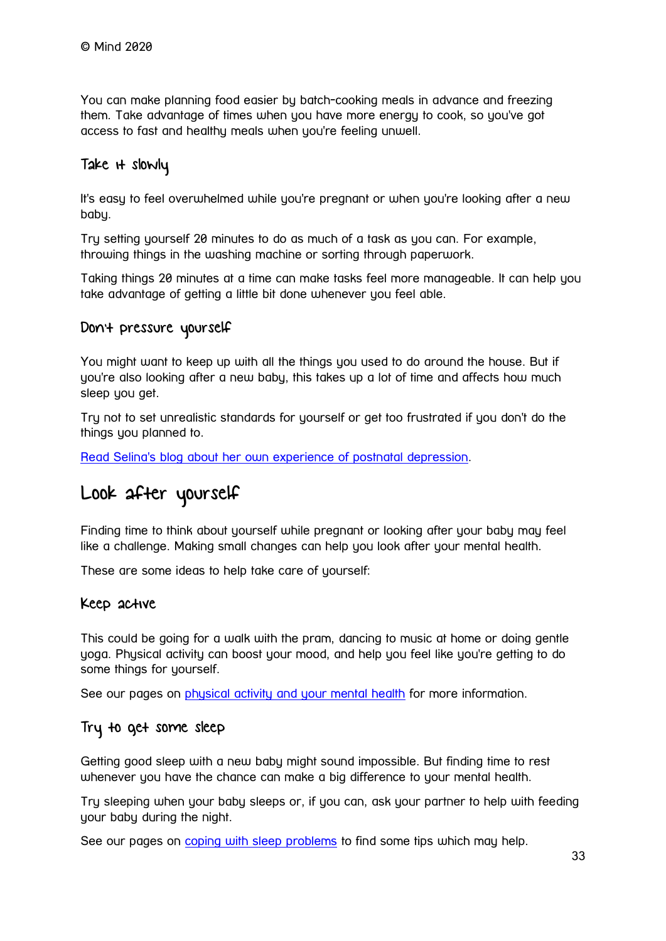You can make planning food easier by batch-cooking meals in advance and freezing them. Take advantage of times when you have more energy to cook, so you've got access to fast and healthy meals when you're feeling unwell.

#### Take it slowly

It's easy to feel overwhelmed while you're pregnant or when you're looking after a new baby.

Try setting yourself 20 minutes to do as much of a task as you can. For example, throwing things in the washing machine or sorting through paperwork.

Taking things 20 minutes at a time can make tasks feel more manageable. It can help you take advantage of getting a little bit done whenever you feel able.

#### Don't pressure yourself

You might want to keep up with all the things you used to do around the house. But if you're also looking after a new baby, this takes up a lot of time and affects how much sleep you get.

Try not to set unrealistic standards for yourself or get too frustrated if you don't do the things you planned to.

[Read Selina's blog about her own experience of postnatal depression.](https://www.mind.org.uk/information-support/your-stories/surviving-postnatal-depression/)

### Look after yourself

Finding time to think about yourself while pregnant or looking after your baby may feel like a challenge. Making small changes can help you look after your mental health.

These are some ideas to help take care of yourself:

#### Keep active

This could be going for a walk with the pram, dancing to music at home or doing gentle yoga. Physical activity can boost your mood, and help you feel like you're getting to do some things for yourself.

See our pages on [physical activity and your mental health](https://www.mind.org.uk/information-support/tips-for-everyday-living/physical-activity-and-your-mental-health/) for more information.

#### Try to get some sleep

Getting good sleep with a new baby might sound impossible. But finding time to rest whenever you have the chance can make a big difference to your mental health.

Try sleeping when your baby sleeps or, if you can, ask your partner to help with feeding your baby during the night.

See our pages on [coping with sleep problems](https://www.mind.org.uk/information-support/types-of-mental-health-problems/sleep-problems/) to find some tips which may help.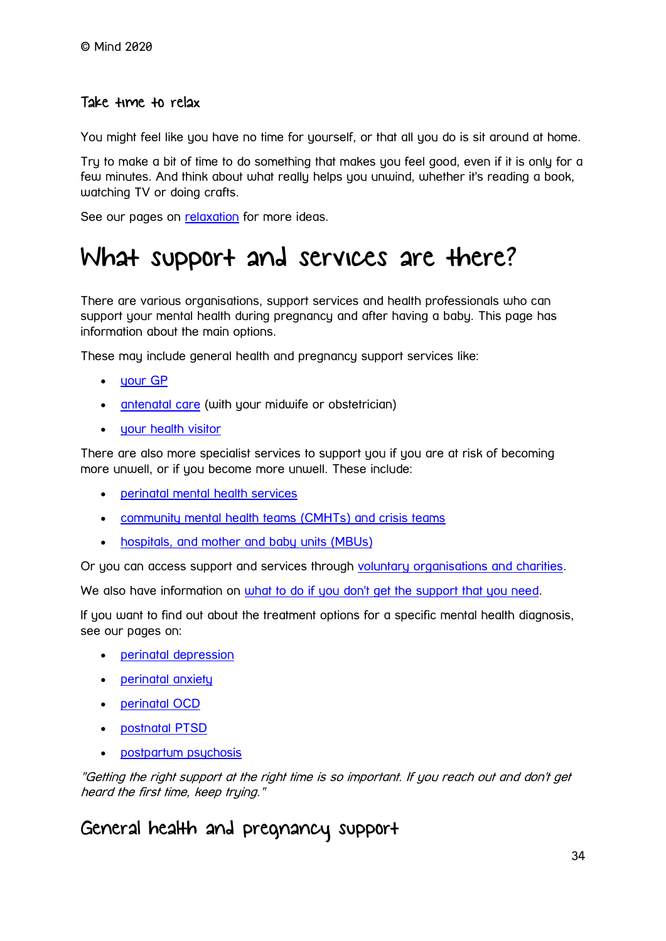#### Take time to relax

You might feel like you have no time for yourself, or that all you do is sit around at home.

Try to make a bit of time to do something that makes you feel good, even if it is only for a few minutes. And think about what really helps you unwind, whether it's reading a book, watching TV or doing crafts.

See our pages on **[relaxation](https://www.mind.org.uk/information-support/tips-for-everyday-living/relaxation/)** for more ideas.

# <span id="page-33-0"></span>What support and services are there?

There are various organisations, support services and health professionals who can support your mental health during pregnancy and after having a baby. This page has information about the main options.

These may include general health and pregnancy support services like:

- [your GP](https://www.mind.org.uk/information-support/types-of-mental-health-problems/postnatal-depression-and-perinatal-mental-health/support-and-services/#YourGP)
- [antenatal care](https://www.mind.org.uk/information-support/types-of-mental-health-problems/postnatal-depression-and-perinatal-mental-health/support-and-services/#AntenatalCare) (with your midwife or obstetrician)
- [your health visitor](https://www.mind.org.uk/information-support/types-of-mental-health-problems/postnatal-depression-and-perinatal-mental-health/support-and-services/#YourHealthVisitor)

There are also more specialist services to support you if you are at risk of becoming more unwell, or if you become more unwell. These include:

- [perinatal mental health services](https://www.mind.org.uk/information-support/types-of-mental-health-problems/postnatal-depression-and-perinatal-mental-health/support-and-services/#PerinatalMentalHealthServices)
- [community mental health teams \(CMHTs\) and crisis teams](https://www.mind.org.uk/information-support/types-of-mental-health-problems/postnatal-depression-and-perinatal-mental-health/support-and-services/#CommunityMentalHealthTeamsCMHTsAndCrisisTeams)
- [hospitals, and mother and baby units \(MBUs\)](https://www.mind.org.uk/information-support/types-of-mental-health-problems/postnatal-depression-and-perinatal-mental-health/support-and-services/#MotherAndBabyUnitsMBUsAndHospitals)

Or you can access support and services through [voluntary organisations and charities.](https://www.mind.org.uk/information-support/types-of-mental-health-problems/postnatal-depression-and-perinatal-mental-health/support-and-services/#VoluntaryOrganisationsAndCharities)

We also have information on [what to do if you don't get the support that you need.](https://www.mind.org.uk/information-support/types-of-mental-health-problems/postnatal-depression-and-perinatal-mental-health/support-and-services/#WhatIfIDontGetTheSupportThatINeed)

If you want to find out about the treatment options for a specific mental health diagnosis, see our pages on:

- [perinatal depression](https://www.mind.org.uk/information-support/types-of-mental-health-problems/postnatal-depression-and-perinatal-mental-health/postnatal-and-antenatal-depression/)
- [perinatal anxiety](https://www.mind.org.uk/information-support/types-of-mental-health-problems/postnatal-depression-and-perinatal-mental-health/perinatal-anxiety/)
- [perinatal OCD](https://www.mind.org.uk/information-support/types-of-mental-health-problems/postnatal-depression-and-perinatal-mental-health/perinatal-ocd/)
- [postnatal PTSD](https://www.mind.org.uk/information-support/types-of-mental-health-problems/postnatal-depression-and-perinatal-mental-health/ptsd-and-birth-trauma/)
- [postpartum psychosis](https://www.mind.org.uk/information-support/types-of-mental-health-problems/postnatal-depression-and-perinatal-mental-health/postpartum-psychosis/)

"Getting the right support at the right time is so important. If you reach out and don't get heard the first time, keep trying."

### General health and pregnancy support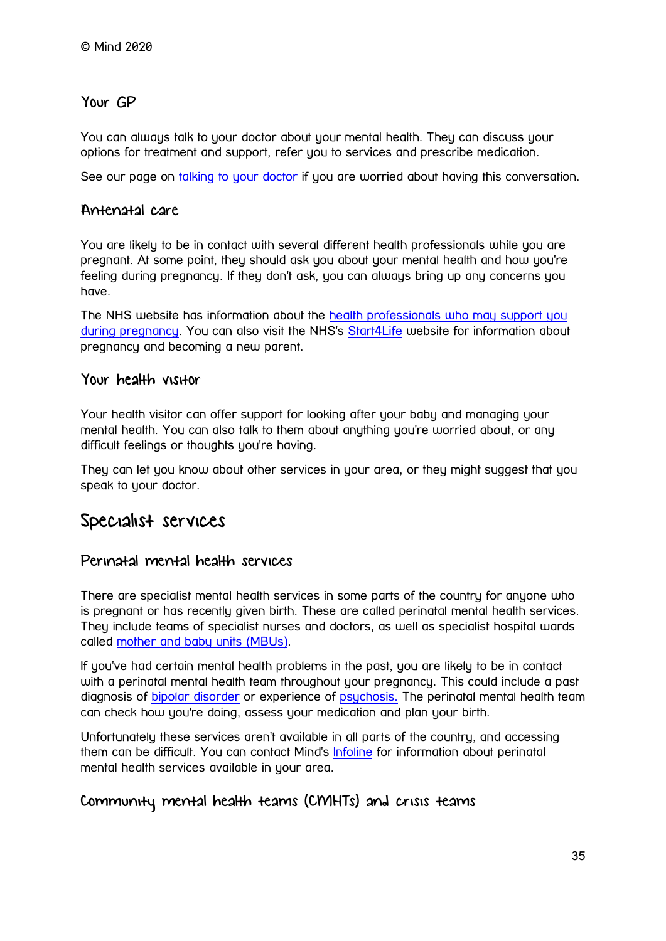#### Your GP

You can always talk to your doctor about your mental health. They can discuss your options for treatment and support, refer you to services and prescribe medication.

See our page on [talking to your doctor](https://www.mind.org.uk/information-support/guides-to-support-and-services/seeking-help-for-a-mental-health-problem/talking-to-your-gp/) if you are worried about having this conversation.

#### Antenatal care

You are likely to be in contact with several different health professionals while you are pregnant. At some point, they should ask you about your mental health and how you're feeling during pregnancy. If they don't ask, you can always bring up any concerns you have.

The NHS website has information about the [health professionals who may support you](http://www.nhs.uk/conditions/pregnancy-and-baby/pages/antenatal-team-midwife-obstetrician-pregnant.aspx)  [during pregnancy.](http://www.nhs.uk/conditions/pregnancy-and-baby/pages/antenatal-team-midwife-obstetrician-pregnant.aspx) You can also visit the NHS's [Start4Life](http://www.nhs.uk/start4life) website for information about pregnancy and becoming a new parent.

#### Your health visitor

Your health visitor can offer support for looking after your baby and managing your mental health. You can also talk to them about anything you're worried about, or any difficult feelings or thoughts you're having.

They can let you know about other services in your area, or they might suggest that you speak to your doctor.

### Specialist services

#### Perinatal mental health services

There are specialist mental health services in some parts of the country for anyone who is pregnant or has recently given birth. These are called perinatal mental health services. They include teams of specialist nurses and doctors, as well as specialist hospital wards called [mother and baby units \(MBUs\).](https://www.mind.org.uk/information-support/types-of-mental-health-problems/postnatal-depression-and-perinatal-mental-health/support-and-services/#MotherAndBabyUnitsMBUsAndHospitals)

If you've had certain mental health problems in the past, you are likely to be in contact with a perinatal mental health team throughout your pregnancy. This could include a past diagnosis of [bipolar disorder](https://www.mind.org.uk/information-support/types-of-mental-health-problems/bipolar-disorder/) or experience of [psychosis.](https://www.mind.org.uk/information-support/types-of-mental-health-problems/psychosis/) The perinatal mental health team can check how you're doing, assess your medication and plan your birth.

Unfortunately these services aren't available in all parts of the country, and accessing them can be difficult. You can contact Mind's [Infoline](https://www.mind.org.uk/information-support/helplines/) for information about perinatal mental health services available in your area.

#### Community mental health teams (CMHTs) and crisis teams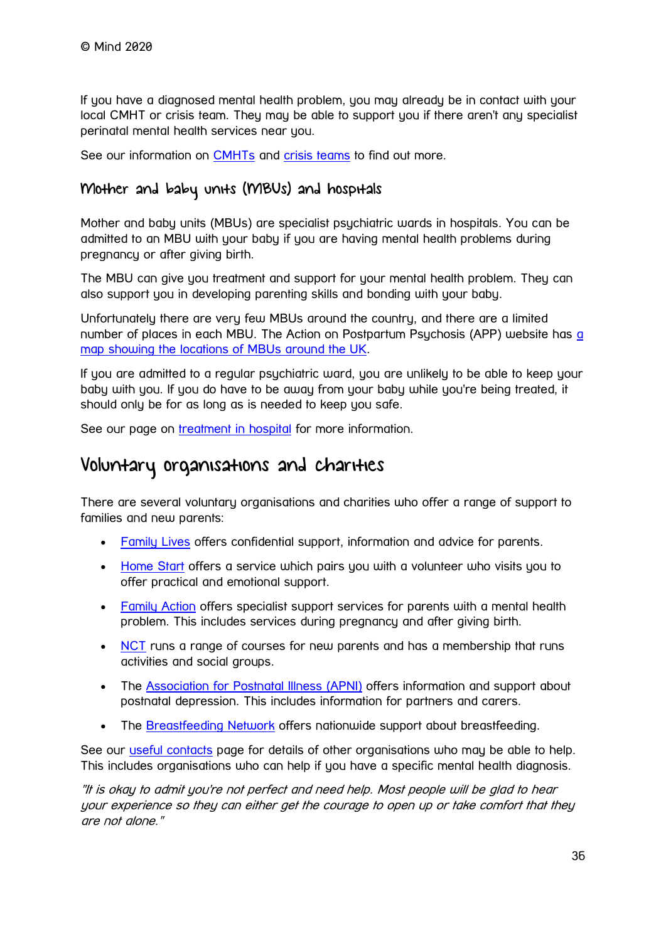If you have a diagnosed mental health problem, you may already be in contact with your local CMHT or crisis team. They may be able to support you if there aren't any specialist perinatal mental health services near you.

See our information on [CMHTs](https://www.mind.org.uk/information-support/types-of-mental-health-problems/mental-health-problems-introduction/support-services/#CommunityMentalHealthTeamsCMHTs) and [crisis teams](https://www.mind.org.uk/information-support/guides-to-support-and-services/crisis-services/crisis-teams-crhts/) to find out more.

#### Mother and baby units (MBUs) and hospitals

Mother and baby units (MBUs) are specialist psychiatric wards in hospitals. You can be admitted to an MBU with your baby if you are having mental health problems during pregnancy or after giving birth.

The MBU can give you treatment and support for your mental health problem. They can also support you in developing parenting skills and bonding with your baby.

Unfortunately there are very few MBUs around the country, and there are a limited number of places in each MBU. The Action on Postpartum Psychosis (APP) website has a [map showing the locations of MBUs around the UK.](http://www.app-network.org/what-is-pp/getting-help/mbus/)

If you are admitted to a regular psychiatric ward, you are unlikely to be able to keep your baby with you. If you do have to be away from your baby while you're being treated, it should only be for as long as is needed to keep you safe.

See our page on [treatment in hospital](https://www.mind.org.uk/information-support/guides-to-support-and-services/crisis-services/treatment-in-hospital/) for more information.

### Voluntary organisations and charities

There are several voluntary organisations and charities who offer a range of support to families and new parents:

- [Family Lives](http://www.familylives.org.uk/) offers confidential support, information and advice for parents.
- [Home Start](http://www.home-start.org.uk/) offers a service which pairs you with a volunteer who visits you to offer practical and emotional support.
- [Family Action](https://www.family-action.org.uk/) offers specialist support services for parents with a mental health problem. This includes services during pregnancy and after giving birth.
- [NCT](https://www.nct.org.uk/) runs a range of courses for new parents and has a membership that runs activities and social groups.
- The [Association for Postnatal Illness \(APNI\)](http://apni.org/) offers information and support about postnatal depression. This includes information for partners and carers.
- The [Breastfeeding Network](https://www.breastfeedingnetwork.org.uk/) offers nationwide support about breastfeeding.

See our [useful contacts](https://www.mind.org.uk/information-support/types-of-mental-health-problems/postnatal-depression-and-perinatal-mental-health/useful-contacts/) page for details of other organisations who may be able to help. This includes organisations who can help if you have a specific mental health diagnosis.

"It is okay to admit you're not perfect and need help. Most people will be glad to hear your experience so they can either get the courage to open up or take comfort that they are not alone."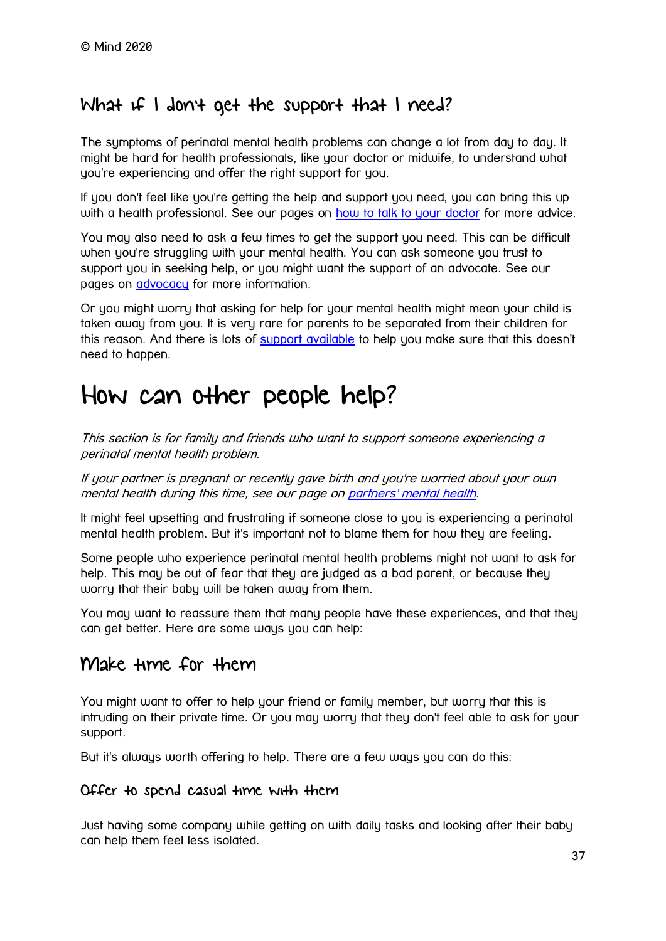### What if I don't get the support that I need?

The symptoms of perinatal mental health problems can change a lot from day to day. It might be hard for health professionals, like your doctor or midwife, to understand what you're experiencing and offer the right support for you.

If you don't feel like you're getting the help and support you need, you can bring this up with a health professional. See our pages on [how to talk to your doctor](https://www.mind.org.uk/information-support/guides-to-support-and-services/seeking-help-for-a-mental-health-problem/) for more advice.

You may also need to ask a few times to get the support you need. This can be difficult when you're struggling with your mental health. You can ask someone you trust to support you in seeking help, or you might want the support of an advocate. See our pages on **[advocacy](https://www.mind.org.uk/information-support/guides-to-support-and-services/advocacy/)** for more information.

Or you might worry that asking for help for your mental health might mean your child is taken away from you. It is very rare for parents to be separated from their children for this reason. And there is lots of [support available](https://www.mind.org.uk/information-support/tips-for-everyday-living/parenting-with-a-mental-health-problem/support/) to help you make sure that this doesn't need to happen.

# <span id="page-36-0"></span>How can other people help?

This section is for family and friends who want to support someone experiencing a perinatal mental health problem.

If your partner is pregnant or recently gave birth and you're worried about your own mental health during this time, see our page on [partners' mental health.](https://www.mind.org.uk/information-support/types-of-mental-health-problems/postnatal-depression-and-perinatal-mental-health/partners/)

It might feel upsetting and frustrating if someone close to you is experiencing a perinatal mental health problem. But it's important not to blame them for how they are feeling.

Some people who experience perinatal mental health problems might not want to ask for help. This may be out of fear that they are judged as a bad parent, or because they worry that their baby will be taken away from them.

You may want to reassure them that many people have these experiences, and that they can get better. Here are some ways you can help:

### Make time for them

You might want to offer to help your friend or family member, but worry that this is intruding on their private time. Or you may worry that they don't feel able to ask for your support.

But it's always worth offering to help. There are a few ways you can do this:

#### Offer to spend casual time with them

Just having some company while getting on with daily tasks and looking after their baby can help them feel less isolated.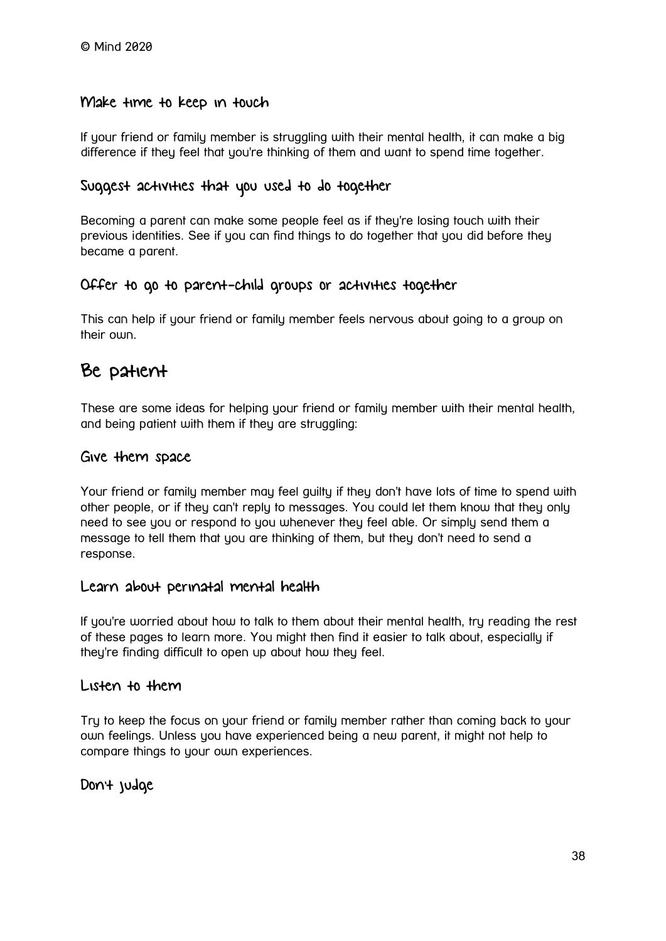#### Make time to keep in touch

If your friend or family member is struggling with their mental health, it can make a big difference if they feel that you're thinking of them and want to spend time together.

#### Suggest activities that you used to do together

Becoming a parent can make some people feel as if they're losing touch with their previous identities. See if you can find things to do together that you did before they became a parent.

#### Offer to go to parent-child groups or activities together

This can help if your friend or family member feels nervous about going to a group on their own.

### Be patient

These are some ideas for helping your friend or family member with their mental health, and being patient with them if they are struggling:

#### Give them space

Your friend or family member may feel guilty if they don't have lots of time to spend with other people, or if they can't reply to messages. You could let them know that they only need to see you or respond to you whenever they feel able. Or simply send them a message to tell them that you are thinking of them, but they don't need to send a response.

#### Learn about perinatal mental health

If you're worried about how to talk to them about their mental health, try reading the rest of these pages to learn more. You might then find it easier to talk about, especially if they're finding difficult to open up about how they feel.

#### Listen to them

Try to keep the focus on your friend or family member rather than coming back to your own feelings. Unless you have experienced being a new parent, it might not help to compare things to your own experiences.

#### Don't judge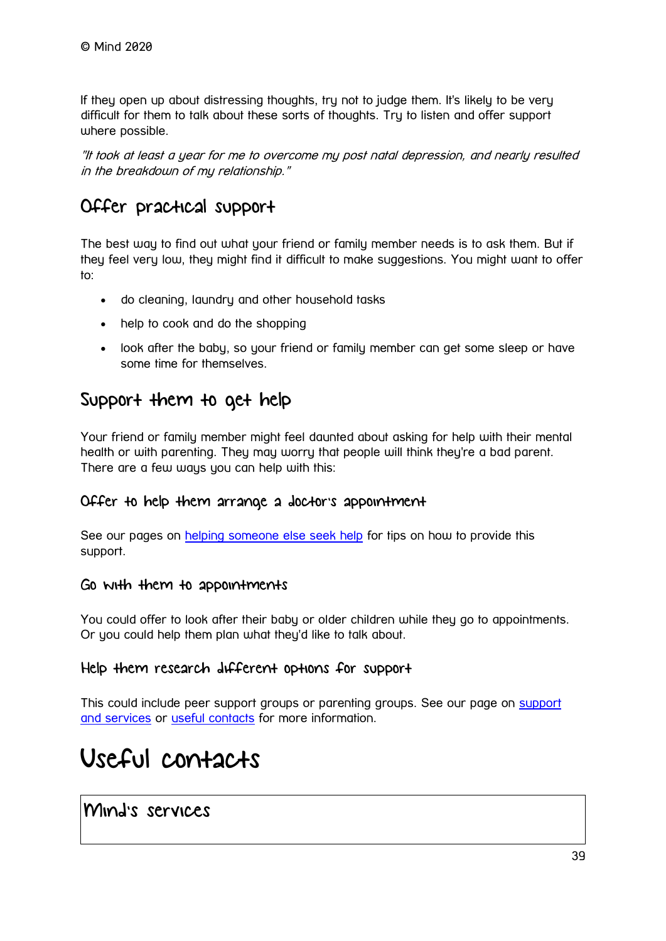If they open up about distressing thoughts, try not to judge them. It's likely to be very difficult for them to talk about these sorts of thoughts. Try to listen and offer support where possible.

"It took at least a year for me to overcome my post natal depression, and nearly resulted in the breakdown of my relationship."

### Offer practical support

The best way to find out what your friend or family member needs is to ask them. But if they feel very low, they might find it difficult to make suggestions. You might want to offer to:

- do cleaning, laundry and other household tasks
- help to cook and do the shopping
- look after the baby, so your friend or family member can get some sleep or have some time for themselves.

### Support them to get help

Your friend or family member might feel daunted about asking for help with their mental health or with parenting. They may worry that people will think they're a bad parent. There are a few ways you can help with this:

#### Offer to help them arrange a doctor's appointment

See our pages on [helping someone else seek help](https://www.mind.org.uk/information-support/guides-to-support-and-services/seeking-help-for-a-mental-health-problem/helping-someone-else-seek-help/) for tips on how to provide this support.

#### Go with them to appointments

You could offer to look after their baby or older children while they go to appointments. Or you could help them plan what they'd like to talk about.

#### Help them research different options for support

This could include peer [support](https://www.mind.org.uk/information-support/types-of-mental-health-problems/postnatal-depression-and-perinatal-mental-health/support-and-services/) groups or parenting groups. See our page on support [and services](https://www.mind.org.uk/information-support/types-of-mental-health-problems/postnatal-depression-and-perinatal-mental-health/support-and-services/) or [useful contacts](https://www.mind.org.uk/information-support/types-of-mental-health-problems/postnatal-depression-and-perinatal-mental-health/useful-contacts/) for more information.

# <span id="page-38-0"></span>Useful contacts

Mind's services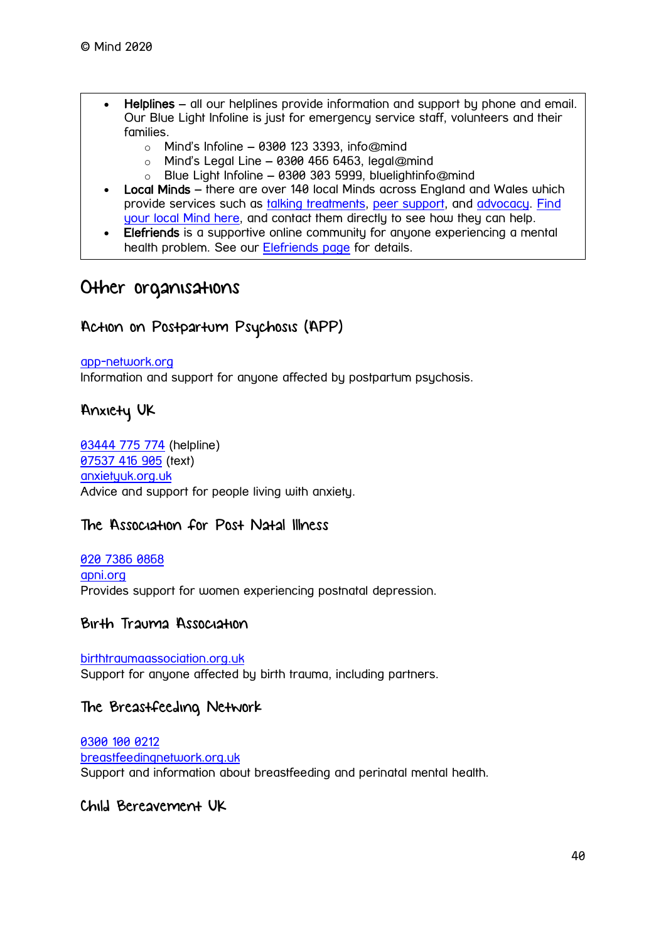- Helplines all our helplines provide information and support by phone and email. Our Blue Light Infoline is just for emergency service staff, volunteers and their families.
	- $\circ$  Mind's Infoline 0300 123 3393, info@mind
	- $\circ$  Mind's Legal Line 0300 466 6463, legal@mind
	- $\circ$  Blue Light Infoline 0300 303 5999, bluelightinfo@mind
- Local Minds there are over 140 local Minds across England and Wales which provide services such as [talking treatments,](https://www.mind.org.uk/information-support/drugs-and-treatments/talking-treatments/) [peer support,](https://www.mind.org.uk/information-support/drugs-and-treatments/peer-support/) and [advocacy.](https://www.mind.org.uk/information-support/guides-to-support-and-services/advocacy/) [Find](https://www.mind.org.uk/information-support/local-minds/)  [your local Mind here,](https://www.mind.org.uk/information-support/local-minds/) and contact them directly to see how they can help.
- Elefriends is a supportive online community for anyone experiencing a mental health problem. See our [Elefriends page](https://www.mind.org.uk/elefriends/) for details.

### Other organisations

#### Action on Postpartum Psychosis (APP)

#### [app-network.org](https://www.app-network.org/)

Information and support for anyone affected by postpartum psychosis.

#### Anxiety UK

[03444 775 774](tel:+44-3444-775-774) (helpline) [07537 416 905](sms:+44-7537-416-905) (text) [anxietyuk.org.uk](https://www.anxietyuk.org.uk/) Advice and support for people living with anxiety.

#### The Association for Post Natal Illness

[020 7386 0868](tel:+44-20-7386-0868) [apni.org](https://www.apni.org/) Provides support for women experiencing postnatal depression.

#### Birth Trauma Association

[birthtraumaassociation.org.uk](https://www.birthtraumaassociation.org.uk/) Support for anyone affected by birth trauma, including partners.

#### The Breastfeeding Network

[0300 100 0212](tel:+44-300-100-0212) [breastfeedingnetwork.org.uk](https://www.breastfeedingnetwork.org.uk/) Support and information about breastfeeding and perinatal mental health.

#### Child Bereavement UK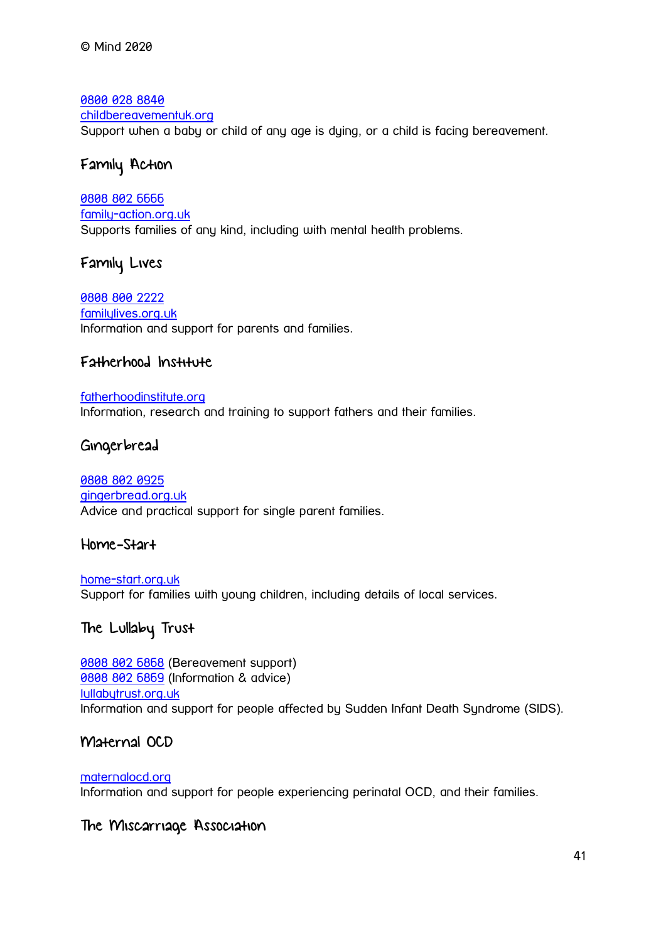[0800 028 8840](tel:+44-800-028-8840) [childbereavementuk.org](https://www.childbereavementuk.org/) Support when a baby or child of any age is dying, or a child is facing bereavement.

#### Family Action

[0808 802 6666](tel:+44-808-802-6666) [family-action.org.uk](https://www.family-action.org.uk/) Supports families of any kind, including with mental health problems.

#### Family Lives

[0808 800 2222](tel:+44-808-800-2222) [familylives.org.uk](https://www.familylives.org.uk/) Information and support for parents and families.

#### Fatherhood Institute

#### [fatherhoodinstitute.org](http://www.fatherhoodinstitute.org/) Information, research and training to support fathers and their families.

#### Gingerbread

#### [0808 802 0925](tel:+44-808-802-0925) [gingerbread.org.uk](https://www.gingerbread.org.uk/) Advice and practical support for single parent families.

#### Home-Start

[home-start.org.uk](https://www.home-start.org.uk/) Support for families with young children, including details of local services.

### The Lullaby Trust

**[0808 802 6868](tel:+44-808-802-6868)** (Bereavement support) [0808 802 6869](tel:+44-808-802-6869) (Information & advice) [lullabytrust.org.uk](https://www.lullabytrust.org.uk/) Information and support for people affected by Sudden Infant Death Syndrome (SIDS).

#### Maternal OCD

[maternalocd.org](https://www.maternalocd.org/) Information and support for people experiencing perinatal OCD, and their families.

#### The Miscarriage Association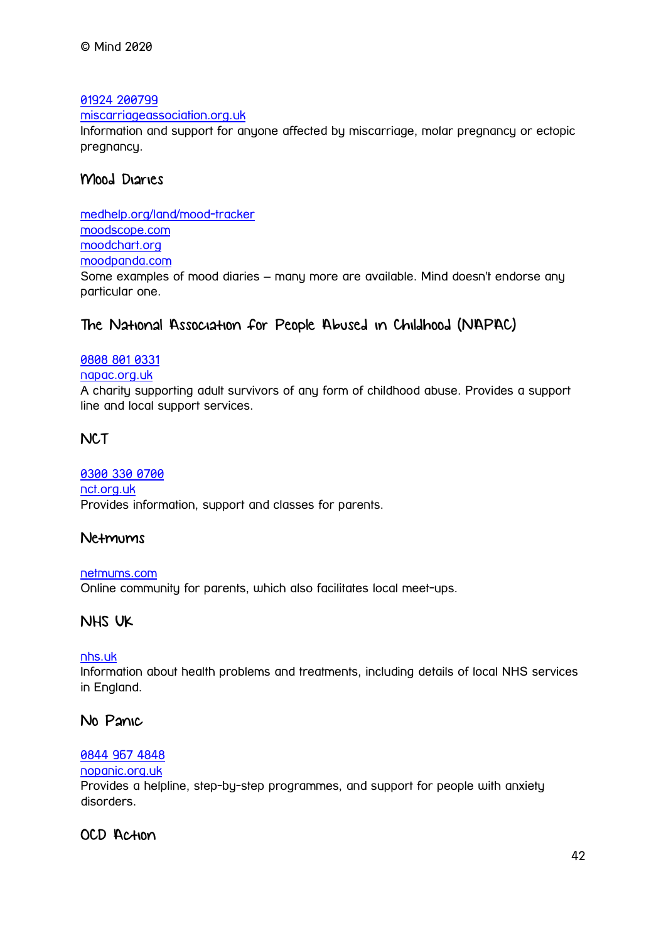[01924 200799](tel:+44-1924-200799)

[miscarriageassociation.org.uk](https://www.miscarriageassociation.org.uk/)

Information and support for anyone affected by miscarriage, molar pregnancy or ectopic pregnancy.

#### Mood Diaries

[medhelp.org/land/mood-tracker](https://www.medhelp.org/land/mood-tracker) [moodscope.com](https://www.moodscope.com/) [moodchart.org](http://www.moodchart.org/) [moodpanda.com](https://www.moodpanda.com/) Some examples of mood diaries – many more are available. Mind doesn't endorse any particular one.

#### The National Association for People Abused in Childhood (NAPAC)

#### [0808 801 0331](tel:+44-808-801-0331)

#### [napac.org.uk](https://www.napac.org.uk/)

A charity supporting adult survivors of any form of childhood abuse. Provides a support line and local support services.

#### **NCT**

[0300 330 0700](tel:+44-300-330-0700) [nct.org.uk](https://www.nct.org.uk/) Provides information, support and classes for parents.

#### Netmums

[netmums.com](https://www.netmums.com/) Online community for parents, which also facilitates local meet-ups.

#### NHS UK

#### [nhs.uk](https://www.nhs.uk/)

Information about health problems and treatments, including details of local NHS services in England.

#### No Panic

#### [0844 967 4848](tel:+44-844-967-4848)

#### [nopanic.org.uk](https://www.nopanic.org.uk/)

Provides a helpline, step-by-step programmes, and support for people with anxiety disorders.

#### OCD Action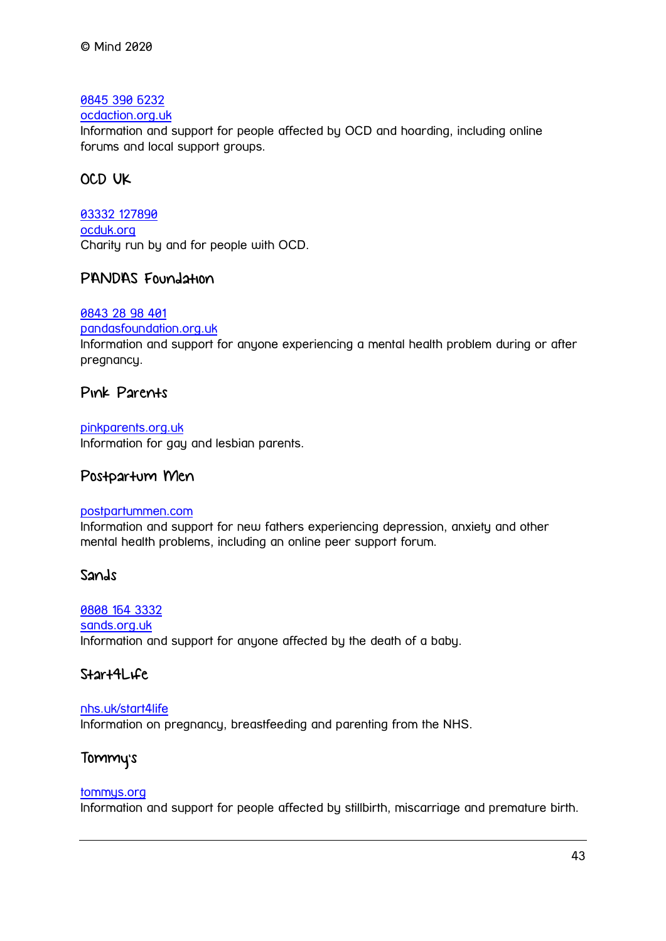#### [0845 390 6232](tel:+44-845-390-6232)

#### [ocdaction.org.uk](https://www.ocdaction.org.uk/)

Information and support for people affected by OCD and hoarding, including online forums and local support groups.

#### OCD UK

[03332 127890](tel:+44-3332-127890) [ocduk.org](https://www.ocduk.org/) Charity run by and for people with OCD.

#### PANDAS Foundation

#### [0843 28 98 401](tel:+44-843-28-98-401)

[pandasfoundation.org.uk](http://www.pandasfoundation.org.uk/)

Information and support for anyone experiencing a mental health problem during or after pregnancy.

#### Pink Parents

[pinkparents.org.uk](http://www.pinkparents.org.uk/) Information for gay and lesbian parents.

#### Postpartum Men

#### [postpartummen.com](http://postpartummen.com/)

Information and support for new fathers experiencing depression, anxiety and other mental health problems, including an online peer support forum.

#### Sands

[0808 164 3332](tel:+44-808-164-3332) [sands.org.uk](https://www.sands.org.uk/) Information and support for anyone affected by the death of a baby.

#### Start4Life

#### [nhs.uk/start4life](https://www.nhs.uk/start4life)

Information on pregnancy, breastfeeding and parenting from the NHS.

#### Tommy's

#### [tommys.org](https://www.tommys.org/)

Information and support for people affected by stillbirth, miscarriage and premature birth.